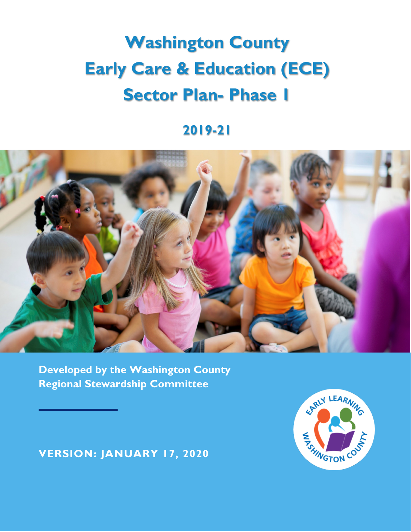# **Washington County Early Care & Education (ECE) Sector Plan- Phase 1**

## **2019-21**



**Developed by the Washington County Regional Stewardship Committee**

**VERSION: JANUARY 17, 2020**

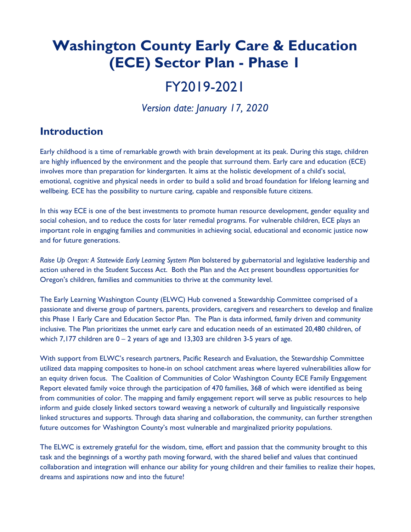# **Washington County Early Care & Education (ECE) Sector Plan - Phase 1**

# FY2019-2021

*Version date: January 17, 2020*

### **Introduction**

Early childhood is a time of remarkable growth with brain development at its peak. During this stage, children are highly influenced by the environment and the people that surround them. Early care and education (ECE) involves more than preparation for kindergarten. It aims at the holistic development of a child's social, emotional, cognitive and physical needs in order to build a solid and broad foundation for lifelong learning and wellbeing. ECE has the possibility to nurture caring, capable and responsible future citizens.

In this way ECE is one of the best investments to promote human resource development, gender equality and social cohesion, and to reduce the costs for later remedial programs. For vulnerable children, ECE plays an important role in engaging families and communities in achieving social, educational and economic justice now and for future generations.

*Raise Up Oregon: A Statewide Early Learning System Plan* bolstered by gubernatorial and legislative leadership and action ushered in the Student Success Act. Both the Plan and the Act present boundless opportunities for Oregon's children, families and communities to thrive at the community level.

The Early Learning Washington County (ELWC) Hub convened a Stewardship Committee comprised of a passionate and diverse group of partners, parents, providers, caregivers and researchers to develop and finalize this Phase 1 Early Care and Education Sector Plan. The Plan is data informed, family driven and community inclusive. The Plan prioritizes the unmet early care and education needs of an estimated 20,480 children, of which 7,177 children are  $0 - 2$  years of age and 13,303 are children 3-5 years of age.

With support from ELWC's research partners, Pacific Research and Evaluation, the Stewardship Committee utilized data mapping composites to hone-in on school catchment areas where layered vulnerabilities allow for an equity driven focus. The Coalition of Communities of Color Washington County ECE Family Engagement Report elevated family voice through the participation of 470 families, 368 of which were identified as being from communities of color. The mapping and family engagement report will serve as public resources to help inform and guide closely linked sectors toward weaving a network of culturally and linguistically responsive linked structures and supports. Through data sharing and collaboration, the community, can further strengthen future outcomes for Washington County's most vulnerable and marginalized priority populations.

The ELWC is extremely grateful for the wisdom, time, effort and passion that the community brought to this task and the beginnings of a worthy path moving forward, with the shared belief and values that continued collaboration and integration will enhance our ability for young children and their families to realize their hopes, dreams and aspirations now and into the future!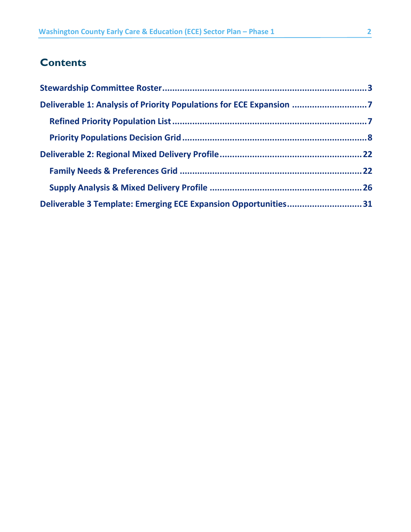### **Contents**

| Deliverable 3 Template: Emerging ECE Expansion Opportunities31 |  |
|----------------------------------------------------------------|--|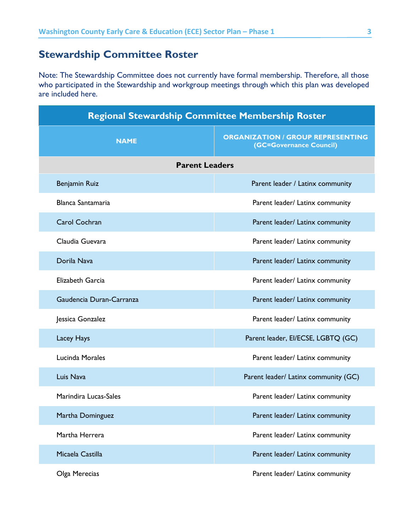### <span id="page-3-0"></span>**Stewardship Committee Roster**

Note: The Stewardship Committee does not currently have formal membership. Therefore, all those who participated in the Stewardship and workgroup meetings through which this plan was developed are included here.

| <b>Regional Stewardship Committee Membership Roster</b> |                                                                     |  |  |  |
|---------------------------------------------------------|---------------------------------------------------------------------|--|--|--|
| <b>NAME</b>                                             | <b>ORGANIZATION / GROUP REPRESENTING</b><br>(GC=Governance Council) |  |  |  |
| <b>Parent Leaders</b>                                   |                                                                     |  |  |  |
| <b>Benjamin Ruiz</b>                                    | Parent leader / Latinx community                                    |  |  |  |
| Blanca Santamaria                                       | Parent leader/ Latinx community                                     |  |  |  |
| <b>Carol Cochran</b>                                    | Parent leader/ Latinx community                                     |  |  |  |
| Claudia Guevara                                         | Parent leader/ Latinx community                                     |  |  |  |
| Dorila Nava                                             | Parent leader/ Latinx community                                     |  |  |  |
| Elizabeth Garcia                                        | Parent leader/ Latinx community                                     |  |  |  |
| Gaudencia Duran-Carranza                                | Parent leader/ Latinx community                                     |  |  |  |
| Jessica Gonzalez                                        | Parent leader/ Latinx community                                     |  |  |  |
| Lacey Hays                                              | Parent leader, El/ECSE, LGBTQ (GC)                                  |  |  |  |
| <b>Lucinda Morales</b>                                  | Parent leader/ Latinx community                                     |  |  |  |
| Luis Nava                                               | Parent leader/ Latinx community (GC)                                |  |  |  |
| Marindira Lucas-Sales                                   | Parent leader/ Latinx community                                     |  |  |  |
| Martha Dominguez                                        | Parent leader/ Latinx community                                     |  |  |  |
| Martha Herrera                                          | Parent leader/ Latinx community                                     |  |  |  |
| Micaela Castilla                                        | Parent leader/ Latinx community                                     |  |  |  |
| Olga Merecias                                           | Parent leader/ Latinx community                                     |  |  |  |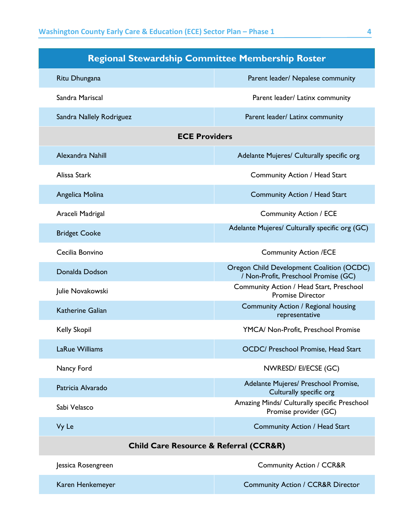| <b>Regional Stewardship Committee Membership Roster</b>                                             |                                                                       |  |  |
|-----------------------------------------------------------------------------------------------------|-----------------------------------------------------------------------|--|--|
| Ritu Dhungana                                                                                       | Parent leader/ Nepalese community                                     |  |  |
| Sandra Mariscal                                                                                     | Parent leader/ Latinx community                                       |  |  |
| Sandra Nallely Rodriguez                                                                            | Parent leader/ Latinx community                                       |  |  |
|                                                                                                     | <b>ECE Providers</b>                                                  |  |  |
| Alexandra Nahill                                                                                    | Adelante Mujeres/ Culturally specific org                             |  |  |
| Alissa Stark                                                                                        | Community Action / Head Start                                         |  |  |
| Angelica Molina                                                                                     | Community Action / Head Start                                         |  |  |
| Araceli Madrigal                                                                                    | <b>Community Action / ECE</b>                                         |  |  |
| <b>Bridget Cooke</b>                                                                                | Adelante Mujeres/ Culturally specific org (GC)                        |  |  |
| Cecilia Bonvino                                                                                     | <b>Community Action /ECE</b>                                          |  |  |
| Oregon Child Development Coalition (OCDC)<br>Donalda Dodson<br>/ Non-Profit, Preschool Promise (GC) |                                                                       |  |  |
| Julie Novakowski                                                                                    | Community Action / Head Start, Preschool<br><b>Promise Director</b>   |  |  |
| <b>Katherine Galian</b>                                                                             | Community Action / Regional housing<br>representative                 |  |  |
| <b>Kelly Skopil</b>                                                                                 | YMCA/ Non-Profit, Preschool Promise                                   |  |  |
| LaRue Williams                                                                                      | OCDC/ Preschool Promise, Head Start                                   |  |  |
| Nancy Ford                                                                                          | NWRESD/EI/ECSE (GC)                                                   |  |  |
| Patricia Alvarado                                                                                   | Adelante Mujeres/ Preschool Promise,<br>Culturally specific org       |  |  |
| Sabi Velasco                                                                                        | Amazing Minds/ Culturally specific Preschool<br>Promise provider (GC) |  |  |
| Vy Le<br>Community Action / Head Start                                                              |                                                                       |  |  |
|                                                                                                     | <b>Child Care Resource &amp; Referral (CCR&amp;R)</b>                 |  |  |
| Jessica Rosengreen                                                                                  | <b>Community Action / CCR&amp;R</b>                                   |  |  |
| Karen Henkemeyer                                                                                    | <b>Community Action / CCR&amp;R Director</b>                          |  |  |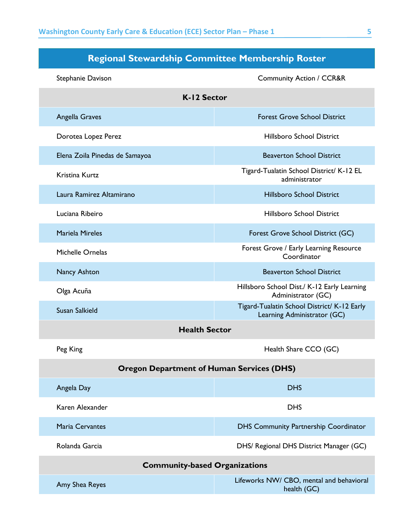| Regional Stewardship Committee Membership Roster |
|--------------------------------------------------|
|--------------------------------------------------|

| Stephanie Davison                                | <b>Community Action / CCR&amp;R</b>                                        |  |  |  |
|--------------------------------------------------|----------------------------------------------------------------------------|--|--|--|
| K-12 Sector                                      |                                                                            |  |  |  |
| Angella Graves                                   | <b>Forest Grove School District</b>                                        |  |  |  |
| Dorotea Lopez Perez                              | <b>Hillsboro School District</b>                                           |  |  |  |
| Elena Zoila Pinedas de Samayoa                   | <b>Beaverton School District</b>                                           |  |  |  |
| Kristina Kurtz                                   | Tigard-Tualatin School District/ K-12 EL<br>administrator                  |  |  |  |
| Laura Ramirez Altamirano                         | <b>Hillsboro School District</b>                                           |  |  |  |
| Luciana Ribeiro                                  | <b>Hillsboro School District</b>                                           |  |  |  |
| <b>Mariela Mireles</b>                           | Forest Grove School District (GC)                                          |  |  |  |
| Michelle Ornelas                                 | Forest Grove / Early Learning Resource<br>Coordinator                      |  |  |  |
| <b>Nancy Ashton</b>                              | <b>Beaverton School District</b>                                           |  |  |  |
| Olga Acuña                                       | Hillsboro School Dist./ K-12 Early Learning<br>Administrator (GC)          |  |  |  |
| <b>Susan Salkield</b>                            | Tigard-Tualatin School District/ K-12 Early<br>Learning Administrator (GC) |  |  |  |
|                                                  | <b>Health Sector</b>                                                       |  |  |  |
| Peg King                                         | Health Share CCO (GC)                                                      |  |  |  |
| <b>Oregon Department of Human Services (DHS)</b> |                                                                            |  |  |  |
| Angela Day                                       | <b>DHS</b>                                                                 |  |  |  |
| Karen Alexander                                  | <b>DHS</b>                                                                 |  |  |  |
| <b>Maria Cervantes</b>                           | <b>DHS Community Partnership Coordinator</b>                               |  |  |  |
| Rolanda Garcia                                   | DHS/ Regional DHS District Manager (GC)                                    |  |  |  |
| <b>Community-based Organizations</b>             |                                                                            |  |  |  |
| Amy Shea Reyes                                   | Lifeworks NW/ CBO, mental and behavioral<br>health (GC)                    |  |  |  |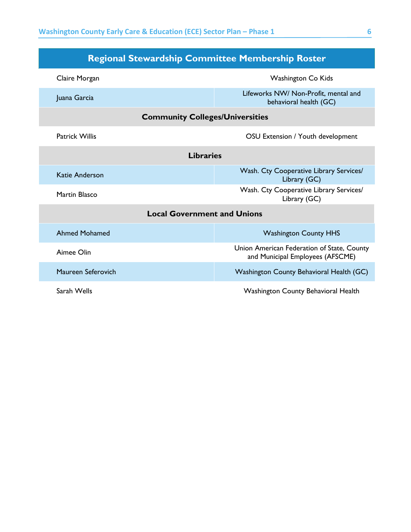| <b>Regional Stewardship Committee Membership Roster</b>    |                                                                                |  |  |
|------------------------------------------------------------|--------------------------------------------------------------------------------|--|--|
| Claire Morgan<br>Washington Co Kids                        |                                                                                |  |  |
| Juana Garcia                                               | Lifeworks NW/ Non-Profit, mental and<br>behavioral health (GC)                 |  |  |
| <b>Community Colleges/Universities</b>                     |                                                                                |  |  |
| <b>Patrick Willis</b><br>OSU Extension / Youth development |                                                                                |  |  |
| <b>Libraries</b>                                           |                                                                                |  |  |
| Katie Anderson                                             | Wash. Cty Cooperative Library Services/<br>Library (GC)                        |  |  |
| Martin Blasco                                              | Wash. Cty Cooperative Library Services/<br>Library (GC)                        |  |  |
|                                                            | <b>Local Government and Unions</b>                                             |  |  |
| <b>Ahmed Mohamed</b>                                       | <b>Washington County HHS</b>                                                   |  |  |
| Aimee Olin                                                 | Union American Federation of State, County<br>and Municipal Employees (AFSCME) |  |  |
| Maureen Seferovich                                         | Washington County Behavioral Health (GC)                                       |  |  |
| Sarah Wells                                                | <b>Washington County Behavioral Health</b>                                     |  |  |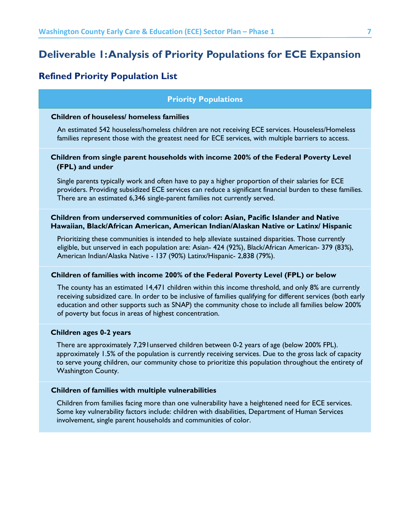### <span id="page-7-0"></span>**Deliverable 1: Analysis of Priority Populations for ECE Expansion**

### <span id="page-7-1"></span>**Refined Priority Population List**

### **Priority Populations**

#### **Children of houseless/ homeless families**

An estimated 542 houseless/homeless children are not receiving ECE services. Houseless/Homeless families represent those with the greatest need for ECE services, with multiple barriers to access.

### **Children from single parent households with income 200% of the Federal Poverty Level (FPL) and under**

Single parents typically work and often have to pay a higher proportion of their salaries for ECE providers. Providing subsidized ECE services can reduce a significant financial burden to these families. There are an estimated 6,346 single-parent families not currently served.

### **Children from underserved communities of color: Asian, Pacific Islander and Native Hawaiian, Black/African American, American Indian/Alaskan Native or Latinx/ Hispanic**

Prioritizing these communities is intended to help alleviate sustained disparities. Those currently eligible, but unserved in each population are: Asian- 424 (92%), Black/African American- 379 (83%), American Indian/Alaska Native - 137 (90%) Latinx/Hispanic- 2,838 (79%).

### **Children of families with income 200% of the Federal Poverty Level (FPL) or below**

The county has an estimated 14,471 children within this income threshold, and only 8% are currently receiving subsidized care. In order to be inclusive of families qualifying for different services (both early education and other supports such as SNAP) the community chose to include all families below 200% of poverty but focus in areas of highest concentration.

### **Children ages 0-2 years**

There are approximately 7,291unserved children between 0-2 years of age (below 200% FPL). approximately 1.5% of the population is currently receiving services. Due to the gross lack of capacity to serve young children, our community chose to prioritize this population throughout the entirety of Washington County.

#### **Children of families with multiple vulnerabilities**

Children from families facing more than one vulnerability have a heightened need for ECE services. Some key vulnerability factors include: children with disabilities, Department of Human Services involvement, single parent households and communities of color.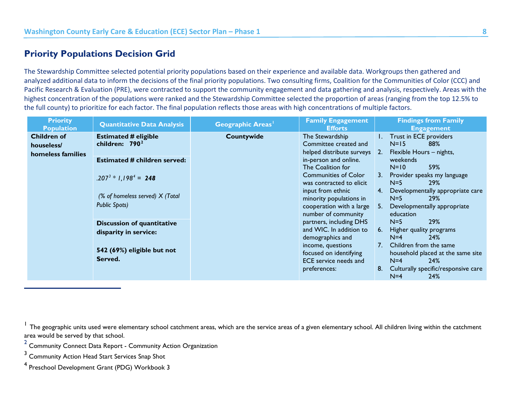### <span id="page-8-4"></span><span id="page-8-3"></span><span id="page-8-2"></span><span id="page-8-1"></span>**Priority Populations Decision Grid**

The Stewardship Committee selected potential priority populations based on their experience and available data. Workgroups then gathered and analyzed additional data to inform the decisions of the final priority populations. Two consulting firms, Coalition for the Communities of Color (CCC) and Pacific Research & Evaluation (PRE), were contracted to support the community engagement and data gathering and analysis, respectively. Areas with the highest concentration of the populations were ranked and the Stewardship Committee selected the proportion of areas (ranging from the top 12.5% to the full county) to prioritize for each factor. The final population reflects those areas with high concentrations of multiple factors.

<span id="page-8-0"></span>

| <b>Priority</b><br><b>Population</b> | <b>Quantitative Data Analysis</b>   | Geographic Areas' | <b>Family Engagement</b><br><b>Efforts</b>    | <b>Findings from Family</b><br><b>Engagement</b> |
|--------------------------------------|-------------------------------------|-------------------|-----------------------------------------------|--------------------------------------------------|
| <b>Children of</b>                   | <b>Estimated # eligible</b>         | Countywide        | The Stewardship                               | Trust in ECE providers                           |
| houseless/                           | children: $7902$                    |                   | Committee created and                         | $N=15$<br>88%                                    |
| homeless families                    |                                     |                   | helped distribute surveys                     | Flexible Hours - nights,<br>$\overline{2}$ .     |
|                                      | <b>Estimated # children served:</b> |                   | in-person and online.                         | weekends                                         |
|                                      |                                     |                   | The Coalition for                             | 59%<br>$N=10$                                    |
|                                      | $.207^3 * 1.198^4 = 248$            |                   | <b>Communities of Color</b>                   | 3. Provider speaks my language<br>$N=5$<br>29%   |
|                                      |                                     |                   | was contracted to elicit<br>input from ethnic | Developmentally appropriate care<br>4.           |
|                                      | (% of homeless served) X (Total)    |                   | minority populations in                       | $N=5$<br>29%                                     |
|                                      | Public Spots)                       |                   | cooperation with a large                      | Developmentally appropriate<br>5.                |
|                                      |                                     |                   | number of community                           | education                                        |
|                                      | <b>Discussion of quantitative</b>   |                   | partners, including DHS                       | <b>29%</b><br>$N=5$                              |
|                                      | disparity in service:               |                   | and WIC. In addition to                       | 6. Higher quality programs                       |
|                                      |                                     |                   | demographics and                              | $N=4$<br>24%                                     |
|                                      |                                     |                   | income, questions                             | Children from the same<br>7 <sub>1</sub>         |
|                                      | 542 (69%) eligible but not          |                   | focused on identifying                        | household placed at the same site                |
|                                      | Served.                             |                   | ECE service needs and                         | $N=4$<br>24%                                     |
|                                      |                                     |                   | preferences:                                  | Culturally specific/responsive care<br>8.        |
|                                      |                                     |                   |                                               | $N=4$<br>24%                                     |

<sup>1</sup> The geographic units used were elementary school catchment areas, which are the service areas of a given elementary school. All children living within the catchment area would be served by that school.

 $2$  Community Connect Data Report - Community Action Organization

<sup>3</sup> Community Action Head Start Services Snap Shot

<sup>4</sup> Preschool Development Grant (PDG) Workbook 3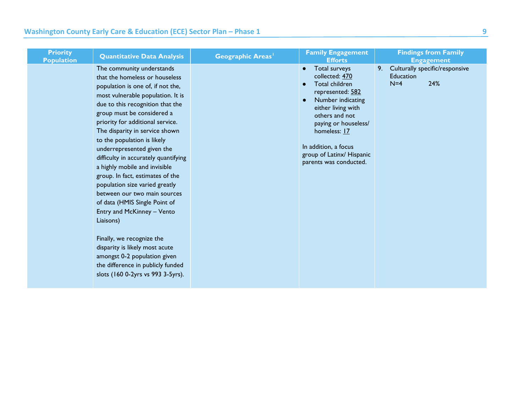| <b>Priority</b><br><b>Population</b> | <b>Quantitative Data Analysis</b>                                                                                                                                                                                                                                                                                                                                                                                                                                                                                                                                                                                                                                                                                                                                              | <b>Geographic Areas</b> <sup>1</sup> | <b>Family Engagement</b><br><b>Efforts</b>                                                                                                                                                                                                                                          | <b>Findings from Family</b><br><b>Engagement</b>                         |
|--------------------------------------|--------------------------------------------------------------------------------------------------------------------------------------------------------------------------------------------------------------------------------------------------------------------------------------------------------------------------------------------------------------------------------------------------------------------------------------------------------------------------------------------------------------------------------------------------------------------------------------------------------------------------------------------------------------------------------------------------------------------------------------------------------------------------------|--------------------------------------|-------------------------------------------------------------------------------------------------------------------------------------------------------------------------------------------------------------------------------------------------------------------------------------|--------------------------------------------------------------------------|
|                                      | The community understands<br>that the homeless or houseless<br>population is one of, if not the,<br>most vulnerable population. It is<br>due to this recognition that the<br>group must be considered a<br>priority for additional service.<br>The disparity in service shown<br>to the population is likely<br>underrepresented given the<br>difficulty in accurately quantifying<br>a highly mobile and invisible<br>group. In fact, estimates of the<br>population size varied greatly<br>between our two main sources<br>of data (HMIS Single Point of<br>Entry and McKinney - Vento<br>Liaisons)<br>Finally, we recognize the<br>disparity is likely most acute<br>amongst 0-2 population given<br>the difference in publicly funded<br>slots (160 0-2yrs vs 993 3-5yrs). |                                      | Total surveys<br>$\bullet$<br>collected: 470<br>Total children<br>represented: 582<br>Number indicating<br>$\bullet$<br>either living with<br>others and not<br>paying or houseless/<br>homeless: 17<br>In addition, a focus<br>group of Latinx/ Hispanic<br>parents was conducted. | Culturally specific/responsive<br>9.<br><b>Education</b><br>$N=4$<br>24% |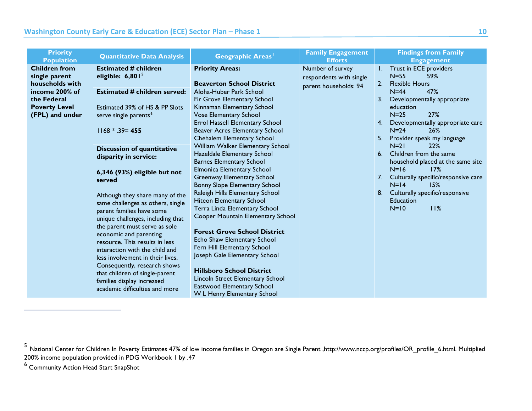<span id="page-10-1"></span><span id="page-10-0"></span>

| <b>Priority</b><br><b>Population</b>                                                                                                 | <b>Quantitative Data Analysis</b>                                                                                                                                                                                                                                                                                                                                                                                                                                                                                                                                                                                                                                                                                                            | <b>Geographic Areas</b> <sup>1</sup>                                                                                                                                                                                                                                                                                                                                                                                                                                                                                                                                                                                                                                                                                                                                                                                                                                                                                    | <b>Family Engagement</b><br><b>Efforts</b>                           | <b>Findings from Family</b><br><b>Engagement</b>                                                                                                                                                                                                                                                                                                                                                                                                                                                                  |
|--------------------------------------------------------------------------------------------------------------------------------------|----------------------------------------------------------------------------------------------------------------------------------------------------------------------------------------------------------------------------------------------------------------------------------------------------------------------------------------------------------------------------------------------------------------------------------------------------------------------------------------------------------------------------------------------------------------------------------------------------------------------------------------------------------------------------------------------------------------------------------------------|-------------------------------------------------------------------------------------------------------------------------------------------------------------------------------------------------------------------------------------------------------------------------------------------------------------------------------------------------------------------------------------------------------------------------------------------------------------------------------------------------------------------------------------------------------------------------------------------------------------------------------------------------------------------------------------------------------------------------------------------------------------------------------------------------------------------------------------------------------------------------------------------------------------------------|----------------------------------------------------------------------|-------------------------------------------------------------------------------------------------------------------------------------------------------------------------------------------------------------------------------------------------------------------------------------------------------------------------------------------------------------------------------------------------------------------------------------------------------------------------------------------------------------------|
| <b>Children from</b><br>single parent<br>households with<br>income 200% of<br>the Federal<br><b>Poverty Level</b><br>(FPL) and under | <b>Estimated # children</b><br>eligible: $6,8015$<br><b>Estimated # children served:</b><br>Estimated 39% of HS & PP Slots<br>serve single parents <sup>6</sup><br>$1168 * .39 = 455$<br><b>Discussion of quantitative</b><br>disparity in service:<br>6,346 (93%) eligible but not<br>served<br>Although they share many of the<br>same challenges as others, single<br>parent families have some<br>unique challenges, including that<br>the parent must serve as sole<br>economic and parenting<br>resource. This results in less<br>interaction with the child and<br>less involvement in their lives.<br>Consequently, research shows<br>that children of single-parent<br>families display increased<br>academic difficulties and more | <b>Priority Areas:</b><br><b>Beaverton School District</b><br>Aloha-Huber Park School<br>Fir Grove Elementary School<br>Kinnaman Elementary School<br><b>Vose Elementary School</b><br><b>Errol Hassell Elementary School</b><br>Beaver Acres Elementary School<br>Chehalem Elementary School<br>William Walker Elementary School<br>Hazeldale Elementary School<br><b>Barnes Elementary School</b><br><b>Elmonica Elementary School</b><br>Greenway Elementary School<br>Bonny Slope Elementary School<br>Raleigh Hills Elementary School<br>Hiteon Elementary School<br>Terra Linda Elementary School<br>Cooper Mountain Elementary School<br><b>Forest Grove School District</b><br>Echo Shaw Elementary School<br>Fern Hill Elementary School<br>Joseph Gale Elementary School<br><b>Hillsboro School District</b><br>Lincoln Street Elementary School<br>Eastwood Elementary School<br>W L Henry Elementary School | Number of survey<br>respondents with single<br>parent households: 94 | I. Trust in ECE providers<br>$N=55$<br>59%<br><b>Flexible Hours</b><br>2 <sub>1</sub><br>$N = 44$<br>47%<br>3. Developmentally appropriate<br>education<br>$N=25$<br>27%<br>4. Developmentally appropriate care<br>$N=24$<br>26%<br>5. Provider speak my language<br>$N=21$<br><b>22%</b><br>6. Children from the same<br>household placed at the same site<br>$N=16$<br>17%<br>7. Culturally specific/responsive care<br>15%<br>$N=14$<br>8. Culturally specific/responsive<br><b>Education</b><br>11%<br>$N=10$ |

<sup>6</sup> Community Action Head Start SnapShot

<sup>&</sup>lt;sup>5</sup> National Center for Children In Poverty Estimates 47% of Iow income families in Oregon are Single Parent <u>,http://www.nccp.org/profiles/OR\_profile\_6.html</u>. Multiplied 200% income population provided in PDG Workbook 1 by .47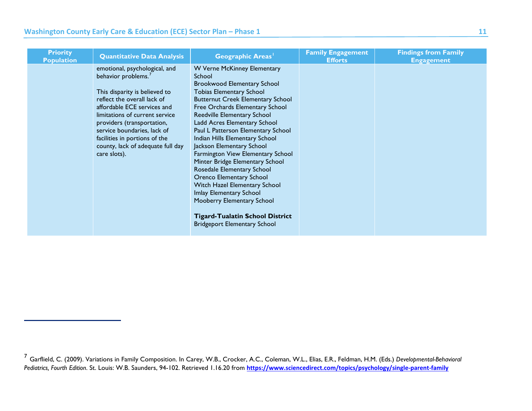<span id="page-11-0"></span>

| <b>Priority</b><br><b>Population</b> | <b>Quantitative Data Analysis</b>                                                                                                                                                                                                                                                                                                                    | Geographic Areas <sup>1</sup>                                                                                                                                                                                                                                                                                                                                                                                                                                                                                                                                                                                                                                                  | <b>Family Engagement</b><br><b>Efforts</b> | <b>Findings from Family</b><br><b>Engagement</b> |
|--------------------------------------|------------------------------------------------------------------------------------------------------------------------------------------------------------------------------------------------------------------------------------------------------------------------------------------------------------------------------------------------------|--------------------------------------------------------------------------------------------------------------------------------------------------------------------------------------------------------------------------------------------------------------------------------------------------------------------------------------------------------------------------------------------------------------------------------------------------------------------------------------------------------------------------------------------------------------------------------------------------------------------------------------------------------------------------------|--------------------------------------------|--------------------------------------------------|
|                                      | emotional, psychological, and<br>behavior problems. <sup>7</sup><br>This disparity is believed to<br>reflect the overall lack of<br>affordable ECE services and<br>limitations of current service<br>providers (transportation,<br>service boundaries, lack of<br>facilities in portions of the<br>county, lack of adequate full day<br>care slots). | W Verne McKinney Elementary<br>School<br><b>Brookwood Elementary School</b><br><b>Tobias Elementary School</b><br><b>Butternut Creek Elementary School</b><br>Free Orchards Elementary School<br>Reedville Elementary School<br>Ladd Acres Elementary School<br>Paul L Patterson Elementary School<br>Indian Hills Elementary School<br>Jackson Elementary School<br>Farmington View Elementary School<br>Minter Bridge Elementary School<br>Rosedale Elementary School<br>Orenco Elementary School<br>Witch Hazel Elementary School<br>Imlay Elementary School<br>Mooberry Elementary School<br><b>Tigard-Tualatin School District</b><br><b>Bridgeport Elementary School</b> |                                            |                                                  |

<sup>7</sup> Garflield, C. (2009). Variations in Family Composition. In Carey, W.B., Crocker, A.C., Coleman, W.L., Elias, E.R., Feldman, H.M. (Eds.) *Developmental-Behavioral Pediatrics, Fourth Edition*. St. Louis: W.B. Saunders, 94-102. Retrieved 1.16.20 from **<https://www.sciencedirect.com/topics/psychology/single-parent-family>**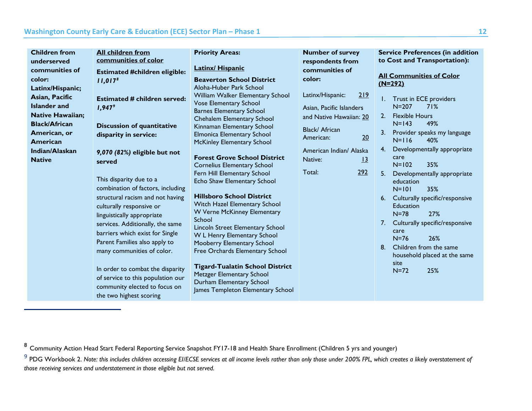<span id="page-12-1"></span><span id="page-12-0"></span>

| <b>Children from</b><br><b>All children from</b><br>communities of color<br>underserved<br>communities of<br><b>Estimated #children eligible:</b><br>color:<br>11,017 <sup>8</sup><br>Latinx/Hispanic;<br>Asian, Pacific<br><b>Estimated # children served:</b><br><b>Islander</b> and<br>$1,947^{\circ}$<br><b>Native Hawaiian;</b><br><b>Black/African</b><br><b>Discussion of quantitative</b><br>American, or<br>disparity in service:<br><b>American</b><br>Indian/Alaskan<br>9,070 (82%) eligible but not<br><b>Native</b><br>served<br>This disparity due to a<br>combination of factors, including<br>structural racism and not having<br>culturally responsive or<br>linguistically appropriate<br>services. Additionally, the same<br>barriers which exist for Single<br>Parent Families also apply to<br>many communities of color.<br>In order to combat the disparity | <b>Priority Areas:</b><br><b>Latinx/ Hispanic</b><br><b>Beaverton School District</b><br>Aloha-Huber Park School<br>William Walker Elementary School<br><b>Vose Elementary School</b><br><b>Barnes Elementary School</b><br>Chehalem Elementary School<br>Kinnaman Elementary School<br>Elmonica Elementary School<br>McKinley Elementary School<br><b>Forest Grove School District</b><br><b>Cornelius Elementary School</b><br>Fern Hill Elementary School<br>Echo Shaw Elementary School<br><b>Hillsboro School District</b><br>Witch Hazel Elementary School<br>W Verne McKinney Elementary<br>School<br>Lincoln Street Elementary School<br>W L Henry Elementary School<br>Mooberry Elementary School<br>Free Orchards Elementary School<br><b>Tigard-Tualatin School District</b><br>Metzger Elementary School | <b>Number of survey</b><br>respondents from<br>communities of<br>color:<br>Latinx/Hispanic:<br>Asian, Pacific Islanders<br>and Native Hawaiian: 20<br>Black/ African<br>American:<br>American Indian/ Alaska<br>Native:<br>292<br>Total: | <b>Service Preferences (in addition</b><br>to Cost and Transportation):<br><b>All Communities of Color</b><br>$(N=292)$<br>219<br>Trust in ECE providers<br>Ι.<br>$N = 207$<br>71%<br><b>Flexible Hours</b><br>2.<br>$N=143$<br>49%<br>3.<br>Provider speaks my language<br>20<br>$N=116$<br>40%<br>Developmentally appropriate<br>4.<br>care<br>$\frac{13}{2}$<br>$N = 102$<br>35%<br>5.<br>Developmentally appropriate<br>education<br>35%<br>$N=101$<br>Culturally specific/responsive<br>6.<br><b>Education</b><br>27%<br>$N = 78$<br>Culturally specific/responsive<br>7.<br>care<br>$N=76$<br>26%<br>Children from the same<br>8.<br>household placed at the same<br>site<br>25%<br>$N = 72$ |
|------------------------------------------------------------------------------------------------------------------------------------------------------------------------------------------------------------------------------------------------------------------------------------------------------------------------------------------------------------------------------------------------------------------------------------------------------------------------------------------------------------------------------------------------------------------------------------------------------------------------------------------------------------------------------------------------------------------------------------------------------------------------------------------------------------------------------------------------------------------------------------|----------------------------------------------------------------------------------------------------------------------------------------------------------------------------------------------------------------------------------------------------------------------------------------------------------------------------------------------------------------------------------------------------------------------------------------------------------------------------------------------------------------------------------------------------------------------------------------------------------------------------------------------------------------------------------------------------------------------------------------------------------------------------------------------------------------------|------------------------------------------------------------------------------------------------------------------------------------------------------------------------------------------------------------------------------------------|----------------------------------------------------------------------------------------------------------------------------------------------------------------------------------------------------------------------------------------------------------------------------------------------------------------------------------------------------------------------------------------------------------------------------------------------------------------------------------------------------------------------------------------------------------------------------------------------------------------------------------------------------------------------------------------------------|
| of service to this population our<br>community elected to focus on<br>the two highest scoring                                                                                                                                                                                                                                                                                                                                                                                                                                                                                                                                                                                                                                                                                                                                                                                      | Durham Elementary School<br>James Templeton Elementary School                                                                                                                                                                                                                                                                                                                                                                                                                                                                                                                                                                                                                                                                                                                                                        |                                                                                                                                                                                                                                          |                                                                                                                                                                                                                                                                                                                                                                                                                                                                                                                                                                                                                                                                                                    |

<sup>8</sup> Community Action Head Start Federal Reporting Service Snapshot FY17-18 and Health Share Enrollment (Children 5 yrs and younger)

<sup>&</sup>lt;sup>9</sup> PDG Workbook 2. Note: this includes children accessing EI/ECSE services at all income levels rather than only those under 200% FPL, which creates a likely overstatement of *those receiving services and understatement in those eligible but not served.*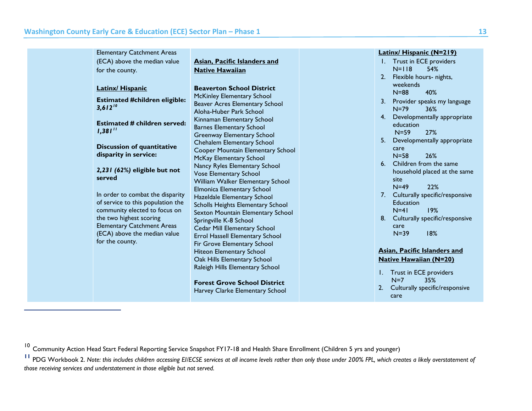<span id="page-13-1"></span><span id="page-13-0"></span>

|  | <b>Elementary Catchment Areas</b>                    |                                     |    | <b>Latinx/ Hispanic (N=219)</b>   |
|--|------------------------------------------------------|-------------------------------------|----|-----------------------------------|
|  | (ECA) above the median value                         | <b>Asian, Pacific Islanders and</b> |    | I. Trust in ECE providers         |
|  | for the county.                                      | <b>Native Hawaiian</b>              |    | $N=118$<br>54%                    |
|  |                                                      |                                     | 2. | Flexible hours- nights,           |
|  | <b>Latinx/ Hispanic</b>                              | <b>Beaverton School District</b>    |    | weekends                          |
|  |                                                      | <b>McKinley Elementary School</b>   |    | $N = 88$<br>40%                   |
|  | <b>Estimated #children eligible:</b><br>$3,612^{10}$ | Beaver Acres Elementary School      | 3. | Provider speaks my language       |
|  |                                                      | Aloha-Huber Park School             |    | $N=79$<br>36%                     |
|  |                                                      |                                     |    | 4. Developmentally appropriate    |
|  | <b>Estimated # children served:</b>                  | Kinnaman Elementary School          |    | education                         |
|  | $1,381$ <sup>11</sup>                                | <b>Barnes Elementary School</b>     |    | $N=59$<br>27%                     |
|  |                                                      | Greenway Elementary School          | 5. | Developmentally appropriate       |
|  | <b>Discussion of quantitative</b>                    | Chehalem Elementary School          |    | care                              |
|  | disparity in service:                                | Cooper Mountain Elementary School   |    | $N = 58$<br>26%                   |
|  |                                                      | McKay Elementary School             |    | 6. Children from the same         |
|  | 2,231 (62%) eligible but not                         | Nancy Ryles Elementary School       |    | household placed at the same      |
|  | served                                               | <b>Vose Elementary School</b>       |    | site                              |
|  |                                                      | William Walker Elementary School    |    | $N=49$<br>22%                     |
|  | In order to combat the disparity                     | <b>Elmonica Elementary School</b>   |    | 7. Culturally specific/responsive |
|  | of service to this population the                    | Hazeldale Elementary School         |    | Education                         |
|  | community elected to focus on                        | Scholls Heights Elementary School   |    | 19%<br>$N = 41$                   |
|  | the two highest scoring                              | Sexton Mountain Elementary School   | 8. | Culturally specific/responsive    |
|  | <b>Elementary Catchment Areas</b>                    | Springville K-8 School              |    | care                              |
|  | (ECA) above the median value                         | Cedar Mill Elementary School        |    | 18%<br>$N=39$                     |
|  | for the county.                                      | Errol Hassell Elementary School     |    |                                   |
|  |                                                      | Fir Grove Elementary School         |    |                                   |
|  |                                                      | <b>Hiteon Elementary School</b>     |    | Asian, Pacific Islanders and      |
|  |                                                      | Oak Hills Elementary School         |    | <b>Native Hawaiian (N=20)</b>     |
|  |                                                      | Raleigh Hills Elementary School     |    | 1. Trust in ECE providers         |
|  |                                                      |                                     |    | $N=7$<br>35%                      |
|  |                                                      | <b>Forest Grove School District</b> | 2. | Culturally specific/responsive    |
|  |                                                      | Harvey Clarke Elementary School     |    | care                              |
|  |                                                      |                                     |    |                                   |

<sup>&</sup>lt;sup>10</sup> Community Action Head Start Federal Reporting Service Snapshot FY17-18 and Health Share Enrollment (Children 5 yrs and younger)

**<sup>11</sup>** PDG Workbook 2. *Note: this includes children accessing EI/ECSE services at all income levels rather than only those under 200% FPL, which creates a likely overstatement of those receiving services and understatement in those eligible but not served.*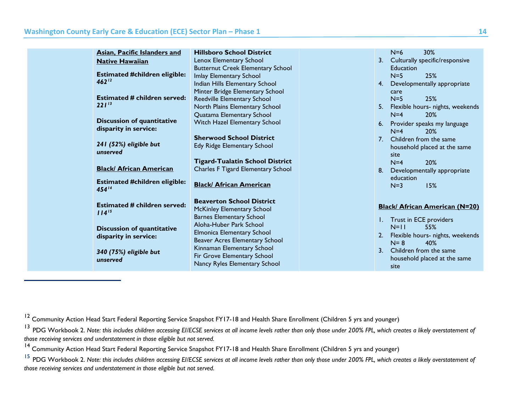<span id="page-14-3"></span><span id="page-14-2"></span><span id="page-14-1"></span><span id="page-14-0"></span>

| Lenox Elementary School<br>3. Culturally specific/responsive<br><b>Native Hawaiian</b><br><b>Butternut Creek Elementary School</b><br>Education<br><b>Estimated #children eligible:</b><br>25%<br>$N=5$<br>Imlay Elementary School<br>$462^{12}$<br>Indian Hills Elementary School<br>Developmentally appropriate<br>4.<br>Minter Bridge Elementary School<br>care<br><b>Estimated # children served:</b><br>$N=5$<br>25%<br>Reedville Elementary School<br>$221^{13}$<br>North Plains Elementary School<br>5.<br>Flexible hours- nights, weekends<br>Quatama Elementary School<br>20%<br>$N=4$<br><b>Discussion of quantitative</b><br>Witch Hazel Elementary School<br>6. Provider speaks my language<br>disparity in service:<br>$N=4$<br><b>20%</b> |
|---------------------------------------------------------------------------------------------------------------------------------------------------------------------------------------------------------------------------------------------------------------------------------------------------------------------------------------------------------------------------------------------------------------------------------------------------------------------------------------------------------------------------------------------------------------------------------------------------------------------------------------------------------------------------------------------------------------------------------------------------------|
|                                                                                                                                                                                                                                                                                                                                                                                                                                                                                                                                                                                                                                                                                                                                                         |
|                                                                                                                                                                                                                                                                                                                                                                                                                                                                                                                                                                                                                                                                                                                                                         |
|                                                                                                                                                                                                                                                                                                                                                                                                                                                                                                                                                                                                                                                                                                                                                         |
|                                                                                                                                                                                                                                                                                                                                                                                                                                                                                                                                                                                                                                                                                                                                                         |
|                                                                                                                                                                                                                                                                                                                                                                                                                                                                                                                                                                                                                                                                                                                                                         |
|                                                                                                                                                                                                                                                                                                                                                                                                                                                                                                                                                                                                                                                                                                                                                         |
|                                                                                                                                                                                                                                                                                                                                                                                                                                                                                                                                                                                                                                                                                                                                                         |
|                                                                                                                                                                                                                                                                                                                                                                                                                                                                                                                                                                                                                                                                                                                                                         |
|                                                                                                                                                                                                                                                                                                                                                                                                                                                                                                                                                                                                                                                                                                                                                         |
|                                                                                                                                                                                                                                                                                                                                                                                                                                                                                                                                                                                                                                                                                                                                                         |
| <b>Sherwood School District</b><br>7. Children from the same<br>241 (52%) eligible but                                                                                                                                                                                                                                                                                                                                                                                                                                                                                                                                                                                                                                                                  |
| Edy Ridge Elementary School<br>household placed at the same<br>unserved                                                                                                                                                                                                                                                                                                                                                                                                                                                                                                                                                                                                                                                                                 |
| site                                                                                                                                                                                                                                                                                                                                                                                                                                                                                                                                                                                                                                                                                                                                                    |
| <b>Tigard-Tualatin School District</b><br>20%<br>$N=4$<br><b>Black/ African American</b>                                                                                                                                                                                                                                                                                                                                                                                                                                                                                                                                                                                                                                                                |
| Charles F Tigard Elementary School<br>Developmentally appropriate<br>8.                                                                                                                                                                                                                                                                                                                                                                                                                                                                                                                                                                                                                                                                                 |
| education<br><b>Estimated #children eligible:</b><br><b>Black/ African American</b>                                                                                                                                                                                                                                                                                                                                                                                                                                                                                                                                                                                                                                                                     |
| 15%<br>$N=3$<br>$454^{14}$                                                                                                                                                                                                                                                                                                                                                                                                                                                                                                                                                                                                                                                                                                                              |
| <b>Beaverton School District</b>                                                                                                                                                                                                                                                                                                                                                                                                                                                                                                                                                                                                                                                                                                                        |
| <b>Estimated # children served:</b><br><b>Black/ African American (N=20)</b><br>McKinley Elementary School                                                                                                                                                                                                                                                                                                                                                                                                                                                                                                                                                                                                                                              |
| $114^{15}$<br><b>Barnes Elementary School</b>                                                                                                                                                                                                                                                                                                                                                                                                                                                                                                                                                                                                                                                                                                           |
| I. Trust in ECE providers<br>Aloha-Huber Park School                                                                                                                                                                                                                                                                                                                                                                                                                                                                                                                                                                                                                                                                                                    |
| $N=11$<br>55%<br><b>Discussion of quantitative</b><br><b>Elmonica Elementary School</b>                                                                                                                                                                                                                                                                                                                                                                                                                                                                                                                                                                                                                                                                 |
| Flexible hours- nights, weekends<br>2.<br>disparity in service:<br>Beaver Acres Elementary School<br>$N = 8$<br>40%                                                                                                                                                                                                                                                                                                                                                                                                                                                                                                                                                                                                                                     |
| Kinnaman Elementary School<br>3 <sup>1</sup><br>Children from the same                                                                                                                                                                                                                                                                                                                                                                                                                                                                                                                                                                                                                                                                                  |
| 340 (75%) eligible but<br>Fir Grove Elementary School                                                                                                                                                                                                                                                                                                                                                                                                                                                                                                                                                                                                                                                                                                   |
| household placed at the same<br>unserved<br>Nancy Ryles Elementary School<br>site                                                                                                                                                                                                                                                                                                                                                                                                                                                                                                                                                                                                                                                                       |

<sup>&</sup>lt;sup>12</sup> Community Action Head Start Federal Reporting Service Snapshot FY17-18 and Health Share Enrollment (Children 5 yrs and younger)

<sup>&</sup>lt;sup>13</sup> PDG Workbook 2. Note: this includes children accessing EI/ECSE services at all income levels rather than only those under 200% FPL, which creates a likely overstatement of *those receiving services and understatement in those eligible but not served.*

<sup>&</sup>lt;sup>14</sup> Community Action Head Start Federal Reporting Service Snapshot FY17-18 and Health Share Enrollment (Children 5 yrs and younger)

<sup>&</sup>lt;sup>15</sup> PDG Workbook 2. Note: this includes children accessing EI/ECSE services at all income levels rather than only those under 200% FPL, which creates a likely overstatement of *those receiving services and understatement in those eligible but not served.*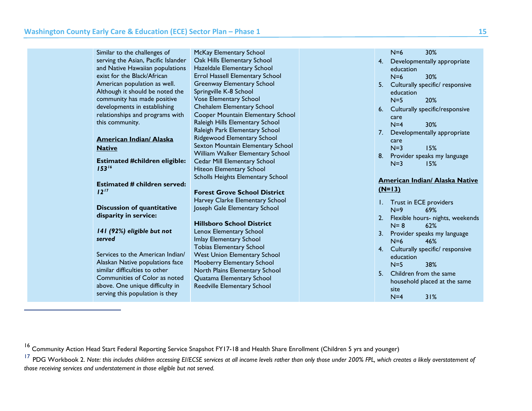<span id="page-15-1"></span><span id="page-15-0"></span>

| Similar to the challenges of<br>serving the Asian, Pacific Islander<br>and Native Hawaiian populations<br>exist for the Black/African<br>American population as well.<br>Although it should be noted the<br>community has made positive<br>developments in establishing<br>relationships and programs with<br>this community. | McKay Elementary School<br>Oak Hills Elementary School<br>Hazeldale Elementary School<br>Errol Hassell Elementary School<br>Greenway Elementary School<br>Springville K-8 School<br><b>Vose Elementary School</b><br>Chehalem Elementary School<br>Cooper Mountain Elementary School<br>Raleigh Hills Elementary School | $N=6$<br>30%<br>4. Developmentally appropriate<br>education<br>$N=6$<br>30%<br>5. Culturally specific/ responsive<br>education<br>$N=5$<br>20%<br>Culturally specific/responsive<br>6.<br>care<br>$N=4$<br>30% |
|-------------------------------------------------------------------------------------------------------------------------------------------------------------------------------------------------------------------------------------------------------------------------------------------------------------------------------|-------------------------------------------------------------------------------------------------------------------------------------------------------------------------------------------------------------------------------------------------------------------------------------------------------------------------|----------------------------------------------------------------------------------------------------------------------------------------------------------------------------------------------------------------|
| <b>American Indian/ Alaska</b><br><b>Native</b><br><b>Estimated #children eligible:</b>                                                                                                                                                                                                                                       | Raleigh Park Elementary School<br>Ridgewood Elementary School<br>Sexton Mountain Elementary School<br>William Walker Elementary School<br>Cedar Mill Elementary School                                                                                                                                                  | Developmentally appropriate<br>7.<br>care<br>$N=3$<br>15%<br>Provider speaks my language<br>8.<br>$N=3$<br>15%                                                                                                 |
| $153^{16}$<br><b>Estimated # children served:</b><br>$12^{17}$                                                                                                                                                                                                                                                                | Hiteon Elementary School<br>Scholls Heights Elementary School<br><b>Forest Grove School District</b><br>Harvey Clarke Elementary School                                                                                                                                                                                 | <b>American Indian/ Alaska Native</b><br>$(N=13)$                                                                                                                                                              |
| <b>Discussion of quantitative</b><br>disparity in service:<br>141 (92%) eligible but not<br>served                                                                                                                                                                                                                            | Joseph Gale Elementary School<br><b>Hillsboro School District</b><br>Lenox Elementary School                                                                                                                                                                                                                            | Trust in ECE providers<br>Ι.<br>$N=9$<br>69%<br>Flexible hours- nights, weekends<br>2.<br>$N = 8$<br>62%<br>3. Provider speaks my language                                                                     |
| Services to the American Indian/<br>Alaskan Native populations face<br>similar difficulties to other<br>Communities of Color as noted<br>above. One unique difficulty in<br>serving this population is they                                                                                                                   | Imlay Elementary School<br><b>Tobias Elementary School</b><br><b>West Union Elementary School</b><br>Mooberry Elementary School<br>North Plains Elementary School<br>Quatama Elementary School<br>Reedville Elementary School                                                                                           | $N=6$<br>46%<br>4. Culturally specific/ responsive<br>education<br>38%<br>$N=5$<br>5. Children from the same<br>household placed at the same<br>site<br>31%<br>$N=4$                                           |

<sup>16</sup> Community Action Head Start Federal Reporting Service Snapshot FY17-18 and Health Share Enrollment (Children 5 yrs and younger)

<sup>&</sup>lt;sup>17</sup> PDG Workbook 2. Note: this includes children accessing EI/ECSE services at all income levels rather than only those under 200% FPL, which creates a likely overstatement of *those receiving services and understatement in those eligible but not served.*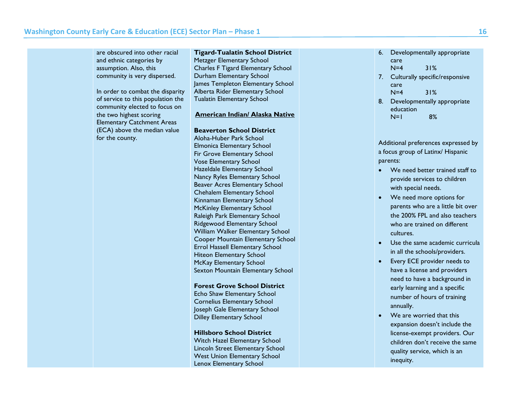are obscured into other racial and ethnic categories by assumption. Also, this community is very dispersed. In order to combat the disparity of service to this population the community elected to focus on the two highest scoring Elementary Catchment Areas (ECA) above the median value for the county. **Tigard-Tualatin School District** Metzger Elementary School Charles F Tigard Elementary School Durham Elementary School James Templeton Elementary School Alberta Rider Elementary School Tualatin Elementary School **American Indian/ Alaska Native Beaverton School District** Aloha-Huber Park School Elmonica Elementary School Fir Grove Elementary School Vose Elementary School Hazeldale Elementary School Nancy Ryles Elementary School Beaver Acres Elementary School Chehalem Elementary School Kinnaman Elementary School McKinley Elementary School Raleigh Park Elementary School 6. Developmentally appropriate care N=4 31% 7. Culturally specific/responsive care  $N=4$  31% 8. Developmentally appropriate education N=1 8% Additional preferences expressed by a focus group of Latinx/ Hispanic parents: • We need better trained staff to provide services to children with special needs. • We need more options for parents who are a little bit over the 200% FPL and also teachers who are trained on different

Ridgewood Elementary School William Walker Elementary School Cooper Mountain Elementary School Errol Hassell Elementary School Hiteon Elementary School McKay Elementary School Sexton Mountain Elementary School

**Forest Grove School District** Echo Shaw Elementary School Cornelius Elementary School Joseph Gale Elementary School Dilley Elementary School

**Hillsboro School District** Witch Hazel Elementary School Lincoln Street Elementary School West Union Elementary School Lenox Elementary School

• Use the same academic curricula in all the schools/providers.

cultures.

- Every ECE provider needs to have a license and providers need to have a background in early learning and a specific number of hours of training annually.
- We are worried that this expansion doesn't include the license-exempt providers. Our children don't receive the same quality service, which is an inequity.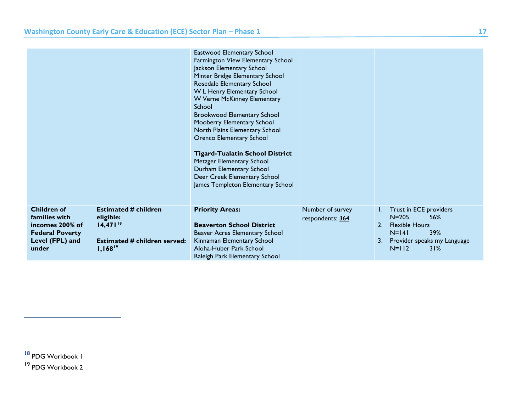<span id="page-17-1"></span><span id="page-17-0"></span>

|                                                                                  |                                                           | Eastwood Elementary School<br>Farmington View Elementary School<br>Jackson Elementary School<br>Minter Bridge Elementary School<br>Rosedale Elementary School<br>W L Henry Elementary School<br>W Verne McKinney Elementary<br>School<br><b>Brookwood Elementary School</b><br>Mooberry Elementary School<br>North Plains Elementary School<br>Orenco Elementary School<br><b>Tigard-Tualatin School District</b><br>Metzger Elementary School<br>Durham Elementary School<br>Deer Creek Elementary School<br>James Templeton Elementary School |                                      |                                                                                             |
|----------------------------------------------------------------------------------|-----------------------------------------------------------|-------------------------------------------------------------------------------------------------------------------------------------------------------------------------------------------------------------------------------------------------------------------------------------------------------------------------------------------------------------------------------------------------------------------------------------------------------------------------------------------------------------------------------------------------|--------------------------------------|---------------------------------------------------------------------------------------------|
| <b>Children of</b><br>families with<br>incomes 200% of<br><b>Federal Poverty</b> | <b>Estimated # children</b><br>eligible:<br>$14,471^{18}$ | <b>Priority Areas:</b><br><b>Beaverton School District</b><br>Beaver Acres Elementary School                                                                                                                                                                                                                                                                                                                                                                                                                                                    | Number of survey<br>respondents: 364 | Trust in ECE providers<br>$N = 205$<br>56%<br><b>Flexible Hours</b><br>2.<br>$N=141$<br>39% |
| Level (FPL) and<br>under                                                         | <b>Estimated # children served:</b><br>$1,168^{19}$       | Kinnaman Elementary School<br>Aloha-Huber Park School<br>Raleigh Park Elementary School                                                                                                                                                                                                                                                                                                                                                                                                                                                         |                                      | Provider speaks my Language<br>3.<br>$N=112$<br>31%                                         |

<sup>18</sup> PDG Workbook 1

<sup>19</sup> PDG Workbook 2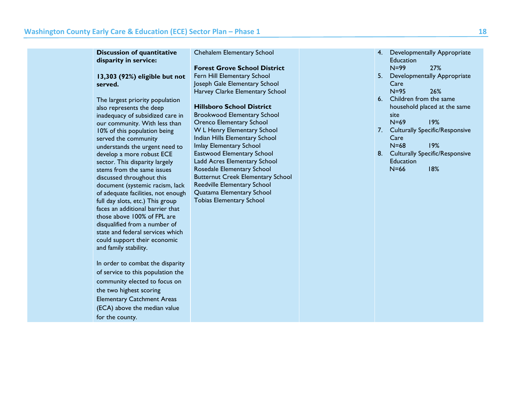| <b>Discussion of quantitative</b><br>disparity in service: | Chehalem Elementary School               | Developmentally Appropriate<br>4.<br>Education |
|------------------------------------------------------------|------------------------------------------|------------------------------------------------|
|                                                            | <b>Forest Grove School District</b>      | $N=99$<br>27%                                  |
| 13,303 (92%) eligible but not                              | Fern Hill Elementary School              | 5.<br><b>Developmentally Appropriate</b>       |
| served.                                                    | Joseph Gale Elementary School            | Care                                           |
|                                                            | Harvey Clarke Elementary School          | $N=95$<br>26%                                  |
| The largest priority population                            |                                          | 6. Children from the same                      |
| also represents the deep                                   | <b>Hillsboro School District</b>         | household placed at the same                   |
| inadequacy of subsidized care in                           | <b>Brookwood Elementary School</b>       | site                                           |
| our community. With less than                              | <b>Orenco Elementary School</b>          | $N=69$<br>19%                                  |
| 10% of this population being                               | W L Henry Elementary School              | <b>Culturally Specific/Responsive</b><br>7.    |
| served the community                                       | Indian Hills Elementary School           | Care                                           |
| understands the urgent need to                             | Imlay Elementary School                  | $N = 68$<br>19%                                |
| develop a more robust ECE                                  | <b>Eastwood Elementary School</b>        | <b>Culturally Specific/Responsive</b><br>8.    |
| sector. This disparity largely                             | Ladd Acres Elementary School             | Education                                      |
| stems from the same issues                                 | Rosedale Elementary School               | $N=66$<br>18%                                  |
| discussed throughout this                                  | <b>Butternut Creek Elementary School</b> |                                                |
| document (systemic racism, lack                            | Reedville Elementary School              |                                                |
| of adequate facilities, not enough                         | Quatama Elementary School                |                                                |
| full day slots, etc.) This group                           | <b>Tobias Elementary School</b>          |                                                |
| faces an additional barrier that                           |                                          |                                                |
| those above 100% of FPL are                                |                                          |                                                |
| disqualified from a number of                              |                                          |                                                |
| state and federal services which                           |                                          |                                                |
| could support their economic                               |                                          |                                                |
| and family stability.                                      |                                          |                                                |
|                                                            |                                          |                                                |
| In order to combat the disparity                           |                                          |                                                |
| of service to this population the                          |                                          |                                                |
| community elected to focus on                              |                                          |                                                |
| the two highest scoring                                    |                                          |                                                |
| <b>Elementary Catchment Areas</b>                          |                                          |                                                |
| (ECA) above the median value                               |                                          |                                                |
|                                                            |                                          |                                                |
| for the county.                                            |                                          |                                                |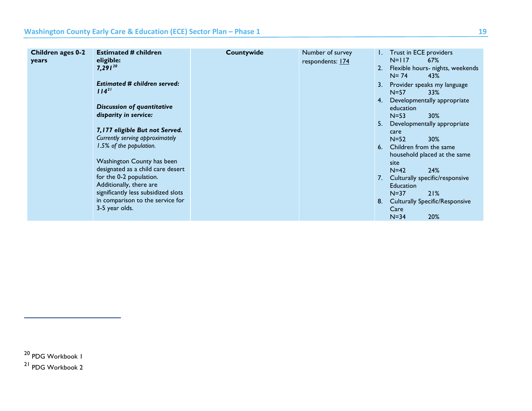<span id="page-19-1"></span><span id="page-19-0"></span>

| Children ages 0-2<br>years | <b>Estimated # children</b><br>eligible:<br>$7,291^{20}$<br><b>Estimated # children served:</b><br>$114^{21}$<br><b>Discussion of quantitative</b><br>disparity in service:<br>7,177 eligible But not Served.<br>Currently serving approximately<br>1.5% of the population.<br>Washington County has been<br>designated as a child care desert<br>for the 0-2 population.<br>Additionally, there are<br>significantly less subsidized slots<br>in comparison to the service for<br>3-5 year olds. | Countywide | Number of survey<br>respondents: 174 | 2.<br>3.<br>4.<br>5.<br>6.<br>7.<br>8. | Trust in ECE providers<br>$N=117$<br>67%<br>Flexible hours- nights, weekends<br>$N = 74$<br>43%<br>Provider speaks my language<br>$N=57$<br>33%<br>Developmentally appropriate<br>education<br>$N=53$<br>30%<br>Developmentally appropriate<br>care<br>30%<br>$N=52$<br>Children from the same<br>household placed at the same<br>site<br>24%<br>$N=42$<br>Culturally specific/responsive<br><b>Education</b><br>21%<br>$N=37$<br><b>Culturally Specific/Responsive</b><br>Care<br>20%<br>$N = 34$ |
|----------------------------|---------------------------------------------------------------------------------------------------------------------------------------------------------------------------------------------------------------------------------------------------------------------------------------------------------------------------------------------------------------------------------------------------------------------------------------------------------------------------------------------------|------------|--------------------------------------|----------------------------------------|----------------------------------------------------------------------------------------------------------------------------------------------------------------------------------------------------------------------------------------------------------------------------------------------------------------------------------------------------------------------------------------------------------------------------------------------------------------------------------------------------|
|                            |                                                                                                                                                                                                                                                                                                                                                                                                                                                                                                   |            |                                      |                                        |                                                                                                                                                                                                                                                                                                                                                                                                                                                                                                    |

<sup>20</sup> PDG Workbook 1

<sup>21</sup> PDG Workbook 2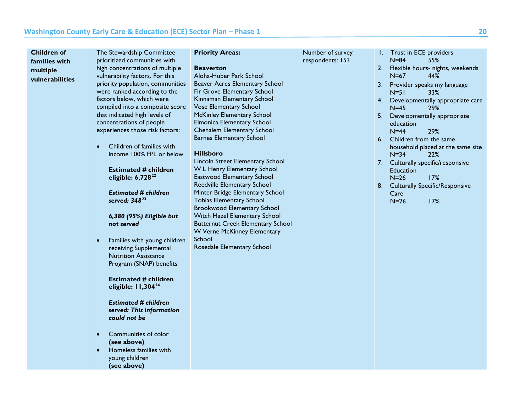<span id="page-20-2"></span><span id="page-20-1"></span><span id="page-20-0"></span>

| Children of                                  | The Stewardship Committee                                                                                                                                                                                                                                                                                                                                                                                                                                                                                                                                                                                                                                                                                                                                                                                                                                                                                                              | <b>Priority Areas:</b>                                                                                                                                                                                                                                                                                                                                                                                                                                                                                                                                                                                                                                                                                                                     | Number of survey | I. Trust in ECE providers                                                                                                                                                                                                                                                                                                                                                                                                                                                       |
|----------------------------------------------|----------------------------------------------------------------------------------------------------------------------------------------------------------------------------------------------------------------------------------------------------------------------------------------------------------------------------------------------------------------------------------------------------------------------------------------------------------------------------------------------------------------------------------------------------------------------------------------------------------------------------------------------------------------------------------------------------------------------------------------------------------------------------------------------------------------------------------------------------------------------------------------------------------------------------------------|--------------------------------------------------------------------------------------------------------------------------------------------------------------------------------------------------------------------------------------------------------------------------------------------------------------------------------------------------------------------------------------------------------------------------------------------------------------------------------------------------------------------------------------------------------------------------------------------------------------------------------------------------------------------------------------------------------------------------------------------|------------------|---------------------------------------------------------------------------------------------------------------------------------------------------------------------------------------------------------------------------------------------------------------------------------------------------------------------------------------------------------------------------------------------------------------------------------------------------------------------------------|
| families with<br>multiple<br>vulnerabilities | prioritized communities with<br>high concentrations of multiple<br>vulnerability factors. For this<br>priority population, communities<br>were ranked according to the<br>factors below, which were<br>compiled into a composite score<br>that indicated high levels of<br>concentrations of people<br>experiences those risk factors:<br>Children of families with<br>income 100% FPL or below<br><b>Estimated # children</b><br>eligible: $6,728^{22}$<br><b>Estimated # children</b><br>served: 348 <sup>23</sup><br>6,380 (95%) Eligible but<br>not served<br>Families with young children<br>receiving Supplemental<br><b>Nutrition Assistance</b><br>Program (SNAP) benefits<br><b>Estimated # children</b><br>eligible: $11,304^{24}$<br><b>Estimated # children</b><br>served: This information<br>could not be<br>Communities of color<br>$\bullet$<br>(see above)<br>Homeless families with<br>young children<br>(see above) | <b>Beaverton</b><br>Aloha-Huber Park School<br>Beaver Acres Elementary School<br>Fir Grove Elementary School<br>Kinnaman Elementary School<br><b>Vose Elementary School</b><br><b>McKinley Elementary School</b><br><b>Elmonica Elementary School</b><br>Chehalem Elementary School<br><b>Barnes Elementary School</b><br><b>Hillsboro</b><br>Lincoln Street Elementary School<br>W L Henry Elementary School<br>Eastwood Elementary School<br>Reedville Elementary School<br>Minter Bridge Elementary School<br><b>Tobias Elementary School</b><br><b>Brookwood Elementary School</b><br>Witch Hazel Elementary School<br><b>Butternut Creek Elementary School</b><br>W Verne McKinney Elementary<br>School<br>Rosedale Elementary School | respondents: 153 | $N=84$<br>55%<br>2. Flexible hours- nights, weekends<br>$N=67$<br>44%<br>3. Provider speaks my language<br>$N = 51$<br>33%<br>4. Developmentally appropriate care<br>$N=45$<br>29%<br>5. Developmentally appropriate<br>education<br>$N = 44$<br>29%<br>6. Children from the same<br>household placed at the same site<br>$N=34$<br><b>22%</b><br>7. Culturally specific/responsive<br>Education<br>$N=26$<br>17%<br>8. Culturally Specific/Responsive<br>Care<br>$N=26$<br>17% |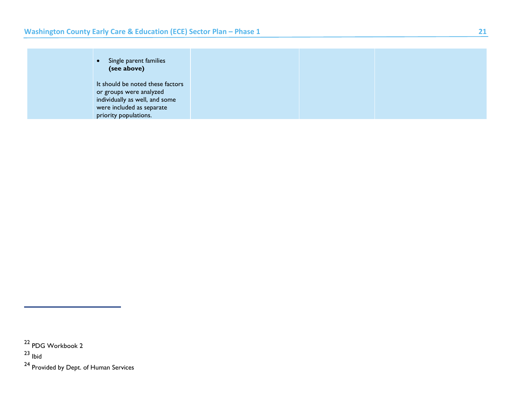| Single parent families<br>$\bullet$<br>(see above) |  |  |
|----------------------------------------------------|--|--|
| It should be noted these factors                   |  |  |
| or groups were analyzed                            |  |  |
| individually as well, and some                     |  |  |
| were included as separate                          |  |  |
| priority populations.                              |  |  |

<sup>22</sup> PDG Workbook 2

<sup>23</sup> Ibid

<sup>24</sup> Provided by Dept. of Human Services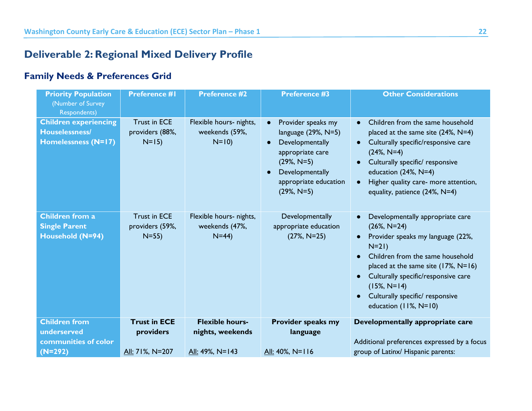### **Deliverable 2: Regional Mixed Delivery Profile**

### **Family Needs & Preferences Grid**

<span id="page-22-1"></span><span id="page-22-0"></span>

| <b>Priority Population</b><br>(Number of Survey)<br><b>Respondents)</b>      | <b>Preference #1</b>                               | <b>Preference #2</b>                                  | <b>Preference #3</b>                                                                                                                                                                                     | <b>Other Considerations</b>                                                                                                                                                                                                                                                                                                                                              |
|------------------------------------------------------------------------------|----------------------------------------------------|-------------------------------------------------------|----------------------------------------------------------------------------------------------------------------------------------------------------------------------------------------------------------|--------------------------------------------------------------------------------------------------------------------------------------------------------------------------------------------------------------------------------------------------------------------------------------------------------------------------------------------------------------------------|
| <b>Children experiencing</b><br>Houselessness/<br><b>Homelessness (N=17)</b> | <b>Trust in ECE</b><br>providers (88%,<br>$N=15$   | Flexible hours- nights,<br>weekends (59%,<br>$N=10$ ) | Provider speaks my<br>$\bullet$<br>language $(29\%, N=5)$<br>Developmentally<br>$\bullet$<br>appropriate care<br>$(29\%, N=5)$<br>Developmentally<br>$\bullet$<br>appropriate education<br>$(29\%, N=5)$ | Children from the same household<br>$\bullet$<br>placed at the same site (24%, N=4)<br>Culturally specific/responsive care<br>$\bullet$<br>$(24\%, N=4)$<br>Culturally specific/ responsive<br>$\bullet$<br>education $(24\%, N=4)$<br>Higher quality care- more attention,<br>$\bullet$<br>equality, patience (24%, N=4)                                                |
| <b>Children from a</b><br><b>Single Parent</b><br>Household (N=94)           | <b>Trust in ECE</b><br>providers (59%,<br>$N = 55$ | Flexible hours- nights,<br>weekends (47%,<br>$N=44$ ) | Developmentally<br>appropriate education<br>$(27\%, N=25)$                                                                                                                                               | Developmentally appropriate care<br>$\bullet$<br>$(26\%, N=24)$<br>Provider speaks my language (22%,<br>$\bullet$<br>$N=21$<br>Children from the same household<br>$\bullet$<br>placed at the same site $(17\%, N=16)$<br>Culturally specific/responsive care<br>$\bullet$<br>$(15\%, N=14)$<br>Culturally specific/ responsive<br>$\bullet$<br>education $(11\%, N=10)$ |
| <b>Children from</b><br>underserved                                          | <b>Trust in ECE</b><br>providers                   | <b>Flexible hours-</b><br>nights, weekends            | Provider speaks my<br>language                                                                                                                                                                           | Developmentally appropriate care                                                                                                                                                                                                                                                                                                                                         |
| communities of color<br>$(N=292)$                                            | All: 71%, N=207                                    | All: 49%, N=143                                       | All: 40%, N=116                                                                                                                                                                                          | Additional preferences expressed by a focus<br>group of Latinx/ Hispanic parents:                                                                                                                                                                                                                                                                                        |
|                                                                              |                                                    |                                                       |                                                                                                                                                                                                          |                                                                                                                                                                                                                                                                                                                                                                          |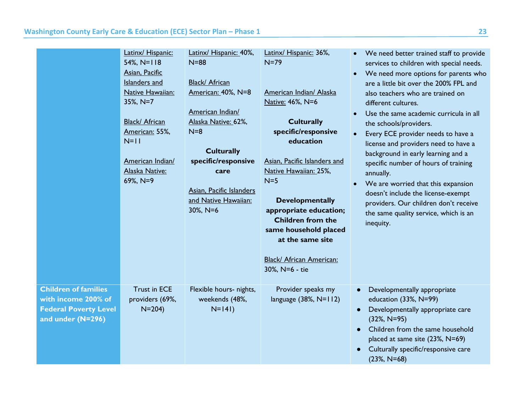|                                                                                                         | Latinx/ Hispanic:<br>$54\%, N=118$<br>Asian, Pacific<br>Islanders and<br>Native Hawaiian:<br>35%, N=7<br>Black/ African<br>American: 55%,<br>$N=11$<br>American Indian/<br>Alaska Native:<br>69%, N=9 | Latinx/ Hispanic: 40%,<br>$N = 88$<br>Black/ African<br>American: 40%, N=8<br>American Indian/<br>Alaska Native: 62%,<br>$N=8$<br><b>Culturally</b><br>specific/responsive<br>care<br>Asian, Pacific Islanders<br>and Native Hawaiian:<br>$30\%$ , N=6 | Latinx/ Hispanic: 36%,<br>$N=79$<br>American Indian/ Alaska<br>Native: 46%, N=6<br><b>Culturally</b><br>specific/responsive<br>education<br>Asian, Pacific Islanders and<br>Native Hawaiian: 25%,<br>$N=5$<br><b>Developmentally</b><br>appropriate education;<br><b>Children from the</b><br>same household placed<br>at the same site<br>Black/ African American:<br>30%, N=6 - tie | We need better trained staff to provide<br>$\bullet$<br>services to children with special needs.<br>We need more options for parents who<br>$\bullet$<br>are a little bit over the 200% FPL and<br>also teachers who are trained on<br>different cultures.<br>Use the same academic curricula in all<br>the schools/providers.<br>Every ECE provider needs to have a<br>license and providers need to have a<br>background in early learning and a<br>specific number of hours of training<br>annually.<br>We are worried that this expansion<br>$\bullet$<br>doesn't include the license-exempt<br>providers. Our children don't receive<br>the same quality service, which is an<br>inequity. |
|---------------------------------------------------------------------------------------------------------|-------------------------------------------------------------------------------------------------------------------------------------------------------------------------------------------------------|--------------------------------------------------------------------------------------------------------------------------------------------------------------------------------------------------------------------------------------------------------|---------------------------------------------------------------------------------------------------------------------------------------------------------------------------------------------------------------------------------------------------------------------------------------------------------------------------------------------------------------------------------------|-------------------------------------------------------------------------------------------------------------------------------------------------------------------------------------------------------------------------------------------------------------------------------------------------------------------------------------------------------------------------------------------------------------------------------------------------------------------------------------------------------------------------------------------------------------------------------------------------------------------------------------------------------------------------------------------------|
| <b>Children of families</b><br>with income 200% of<br><b>Federal Poverty Level</b><br>and under (N=296) | <b>Trust in ECE</b><br>providers (69%,<br>$N = 204$                                                                                                                                                   | Flexible hours- nights,<br>weekends (48%,<br>$N=141$                                                                                                                                                                                                   | Provider speaks my<br>language $(38\%, N=112)$                                                                                                                                                                                                                                                                                                                                        | Developmentally appropriate<br>$\bullet$<br>education (33%, N=99)<br>Developmentally appropriate care<br>$(32\%, N=95)$<br>Children from the same household<br>placed at same site (23%, N=69)<br>Culturally specific/responsive care<br>$(23\%, N=68)$                                                                                                                                                                                                                                                                                                                                                                                                                                         |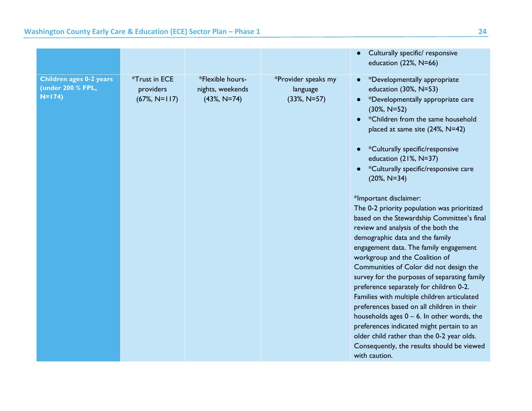|                                                                |                                               |                                                        |                                                   | Culturally specific/ responsive<br>$\bullet$<br>education (22%, N=66)                                                                                                                                                                                                                                                                                                                                                                                                                                                                                                                                                                                                                                                                                                                                                                                                                                                                                                                                                                                           |
|----------------------------------------------------------------|-----------------------------------------------|--------------------------------------------------------|---------------------------------------------------|-----------------------------------------------------------------------------------------------------------------------------------------------------------------------------------------------------------------------------------------------------------------------------------------------------------------------------------------------------------------------------------------------------------------------------------------------------------------------------------------------------------------------------------------------------------------------------------------------------------------------------------------------------------------------------------------------------------------------------------------------------------------------------------------------------------------------------------------------------------------------------------------------------------------------------------------------------------------------------------------------------------------------------------------------------------------|
| <b>Children ages 0-2 years</b><br>(under 200 % FPL,<br>$N=174$ | *Trust in ECE<br>providers<br>$(67\%, N=117)$ | *Flexible hours-<br>nights, weekends<br>$(43\%, N=74)$ | *Provider speaks my<br>language<br>$(33\%, N=57)$ | *Developmentally appropriate<br>$\bullet$<br>education (30%, N=53)<br>*Developmentally appropriate care<br>$(30\%, N=52)$<br>*Children from the same household<br>$\bullet$<br>placed at same site (24%, N=42)<br>*Culturally specific/responsive<br>education (21%, N=37)<br>*Culturally specific/responsive care<br>$(20\%, N=34)$<br>*Important disclaimer:<br>The 0-2 priority population was prioritized<br>based on the Stewardship Committee's final<br>review and analysis of the both the<br>demographic data and the family<br>engagement data. The family engagement<br>workgroup and the Coalition of<br>Communities of Color did not design the<br>survey for the purposes of separating family<br>preference separately for children 0-2.<br>Families with multiple children articulated<br>preferences based on all children in their<br>households ages $0 - 6$ . In other words, the<br>preferences indicated might pertain to an<br>older child rather than the 0-2 year olds.<br>Consequently, the results should be viewed<br>with caution. |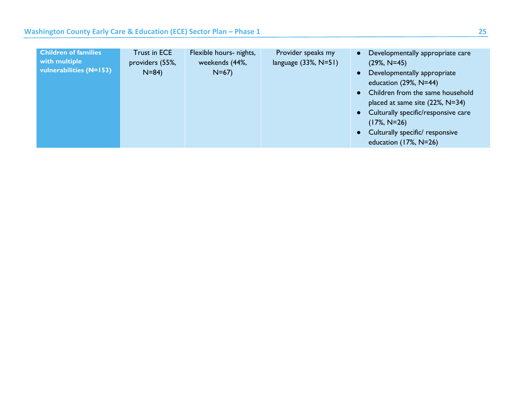| <b>Children of families</b><br>with multiple<br>vulnerabilities (N=153) | Trust in ECE<br>providers (55%,<br>$N = 84$ | Flexible hours- nights,<br>weekends (44%,<br>$N=67$ | Provider speaks my<br>language $(33\%, N=51)$ | Developmentally appropriate care<br>$(29\%, N=45)$<br>Developmentally appropriate<br>$\bullet$<br>education $(29\%, N=44)$<br>• Children from the same household<br>placed at same site $(22\%, N=34)$<br>• Culturally specific/responsive care<br>$(17\%, N=26)$ |
|-------------------------------------------------------------------------|---------------------------------------------|-----------------------------------------------------|-----------------------------------------------|-------------------------------------------------------------------------------------------------------------------------------------------------------------------------------------------------------------------------------------------------------------------|
|                                                                         |                                             |                                                     |                                               | • Culturally specific/ responsive<br>education $(17\%, N=26)$                                                                                                                                                                                                     |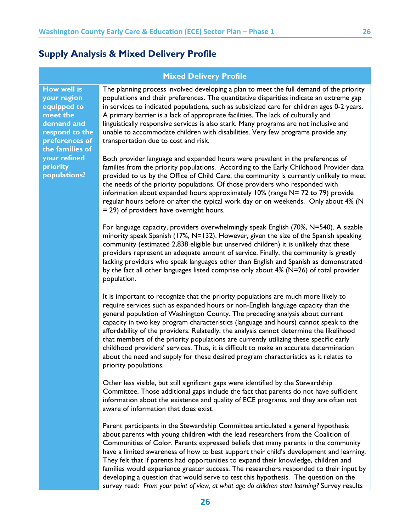### <span id="page-26-0"></span>**Supply Analysis & Mixed Delivery Profile**

#### **Mixed Delivery Profile**

**How well is your region equipped to meet the demand and respond to the preferences of the families of your refined priority populations?**

The planning process involved developing a plan to meet the full demand of the priority populations and their preferences. The quantitative disparities indicate an extreme gap in services to indicated populations, such as subsidized care for children ages 0-2 years. A primary barrier is a lack of appropriate facilities. The lack of culturally and linguistically responsive services is also stark. Many programs are not inclusive and unable to accommodate children with disabilities. Very few programs provide any transportation due to cost and risk.

Both provider language and expanded hours were prevalent in the preferences of families from the priority populations. According to the Early Childhood Provider data provided to us by the Office of Child Care, the community is currently unlikely to meet the needs of the priority populations. Of those providers who responded with information about expanded hours approximately 10% (range N= 72 to 79) provide regular hours before or after the typical work day or on weekends. Only about 4% (N = 29) of providers have overnight hours.

For language capacity, providers overwhelmingly speak English (70%, N=540). A sizable minority speak Spanish (17%, N=132). However, given the size of the Spanish speaking community (estimated 2,838 eligible but unserved children) it is unlikely that these providers represent an adequate amount of service. Finally, the community is greatly lacking providers who speak languages other than English and Spanish as demonstrated by the fact all other languages listed comprise only about 4% (N=26) of total provider population.

It is important to recognize that the priority populations are much more likely to require services such as expanded hours or non-English language capacity than the general population of Washington County. The preceding analysis about current capacity in two key program characteristics (language and hours) cannot speak to the affordability of the providers. Relatedly, the analysis cannot determine the likelihood that members of the priority populations are currently utilizing these specific early childhood providers' services. Thus, it is difficult to make an accurate determination about the need and supply for these desired program characteristics as it relates to priority populations.

Other less visible, but still significant gaps were identified by the Stewardship Committee. Those additional gaps include the fact that parents do not have sufficient information about the existence and quality of ECE programs, and they are often not aware of information that does exist.

Parent participants in the Stewardship Committee articulated a general hypothesis about parents with young children with the lead researchers from the Coalition of Communities of Color. Parents expressed beliefs that many parents in the community have a limited awareness of how to best support their child's development and learning. They felt that if parents had opportunities to expand their knowledge, children and families would experience greater success. The researchers responded to their input by developing a question that would serve to test this hypothesis. The question on the survey read: *From your point of view, at what age do children start learning?* Survey results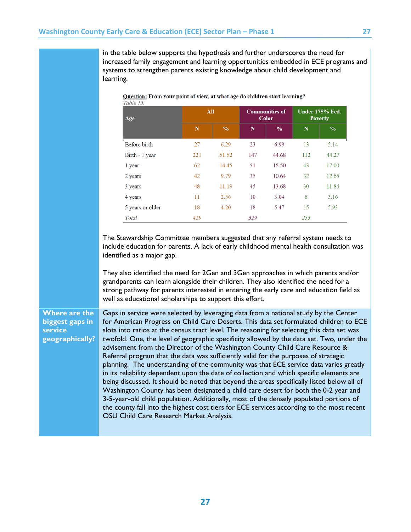in the table below supports the hypothesis and further underscores the need for increased family engagement and learning opportunities embedded in ECE programs and systems to strengthen parents existing knowledge about child development and learning.

| Age              |     | All           |     | <b>Communities of</b><br><b>Color</b> |     | <b>Under 175% Fed.</b><br><b>Poverty</b> |  |
|------------------|-----|---------------|-----|---------------------------------------|-----|------------------------------------------|--|
|                  | N   | $\frac{9}{6}$ | N   | $\%$                                  | N   | $\%$                                     |  |
| Before birth     | 27  | 6.29          | 23  | 6.99                                  | 13  | 5.14                                     |  |
| Birth - 1 year   | 221 | 51.52         | 147 | 44.68                                 | 112 | 44.27                                    |  |
| 1 year           | 62  | 14.45         | 51  | 15.50                                 | 43  | 17.00                                    |  |
| 2 years          | 42  | 9.79          | 35  | 10.64                                 | 32  | 12.65                                    |  |
| 3 years          | 48  | 11.19         | 45  | 13.68                                 | 30  | 11.86                                    |  |
| 4 years          | 11  | 2.56          | 10  | 3.04                                  | 8   | 3.16                                     |  |
| 5 years or older | 18  | 4.20          | 18  | 5.47                                  | 15  | 5.93                                     |  |
| Total            | 429 |               | 329 |                                       | 253 |                                          |  |

Question: From your point of view, at what age do children start learning?

The Stewardship Committee members suggested that any referral system needs to include education for parents. A lack of early childhood mental health consultation was identified as a major gap.

They also identified the need for 2Gen and 3Gen approaches in which parents and/or grandparents can learn alongside their children. They also identified the need for a strong pathway for parents interested in entering the early care and education field as well as educational scholarships to support this effort.

### **Where are the biggest gaps in service geographically?**

Gaps in service were selected by leveraging data from a national study by the Center for American Progress on Child Care Deserts. This data set formulated children to ECE slots into ratios at the census tract level. The reasoning for selecting this data set was twofold. One, the level of geographic specificity allowed by the data set. Two, under the advisement from the Director of the Washington County Child Care Resource & Referral program that the data was sufficiently valid for the purposes of strategic planning. The understanding of the community was that ECE service data varies greatly in its reliability dependent upon the date of collection and which specific elements are being discussed. It should be noted that beyond the areas specifically listed below all of Washington County has been designated a child care desert for both the 0-2 year and 3-5-year-old child population. Additionally, most of the densely populated portions of the county fall into the highest cost tiers for ECE services according to the most recent OSU Child Care Research Market Analysis.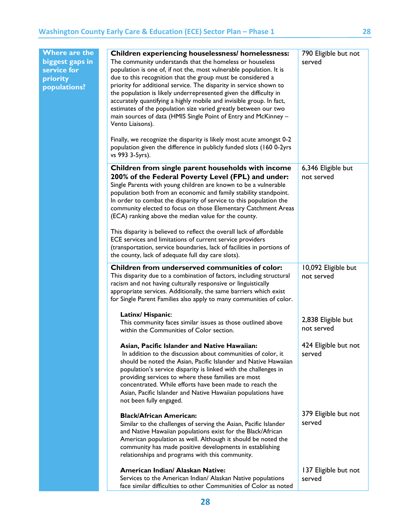| Where are the<br>biggest gaps in<br>service for<br>priority<br>populations? | <b>Children experiencing houselessness/ homelessness:</b><br>The community understands that the homeless or houseless<br>population is one of, if not the, most vulnerable population. It is<br>due to this recognition that the group must be considered a<br>priority for additional service. The disparity in service shown to<br>the population is likely underrepresented given the difficulty in<br>accurately quantifying a highly mobile and invisible group. In fact,<br>estimates of the population size varied greatly between our two<br>main sources of data (HMIS Single Point of Entry and McKinney -<br>Vento Liaisons).                        | 790 Eligible but not<br>served    |
|-----------------------------------------------------------------------------|-----------------------------------------------------------------------------------------------------------------------------------------------------------------------------------------------------------------------------------------------------------------------------------------------------------------------------------------------------------------------------------------------------------------------------------------------------------------------------------------------------------------------------------------------------------------------------------------------------------------------------------------------------------------|-----------------------------------|
|                                                                             | Finally, we recognize the disparity is likely most acute amongst 0-2<br>population given the difference in publicly funded slots (160 0-2yrs<br>vs 993 3-5yrs).                                                                                                                                                                                                                                                                                                                                                                                                                                                                                                 |                                   |
|                                                                             | Children from single parent households with income<br>200% of the Federal Poverty Level (FPL) and under:<br>Single Parents with young children are known to be a vulnerable<br>population both from an economic and family stability standpoint.<br>In order to combat the disparity of service to this population the<br>community elected to focus on those Elementary Catchment Areas<br>(ECA) ranking above the median value for the county.<br>This disparity is believed to reflect the overall lack of affordable<br>ECE services and limitations of current service providers<br>(transportation, service boundaries, lack of facilities in portions of | 6,346 Eligible but<br>not served  |
|                                                                             | the county, lack of adequate full day care slots).<br>Children from underserved communities of color:<br>This disparity due to a combination of factors, including structural<br>racism and not having culturally responsive or linguistically<br>appropriate services. Additionally, the same barriers which exist<br>for Single Parent Families also apply to many communities of color.                                                                                                                                                                                                                                                                      | 10,092 Eligible but<br>not served |
|                                                                             | Latinx/Hispanic:<br>This community faces similar issues as those outlined above<br>within the Communities of Color section.                                                                                                                                                                                                                                                                                                                                                                                                                                                                                                                                     | 2,838 Eligible but<br>not served  |
|                                                                             | Asian, Pacific Islander and Native Hawaiian:<br>In addition to the discussion about communities of color, it<br>should be noted the Asian, Pacific Islander and Native Hawaiian<br>population's service disparity is linked with the challenges in<br>providing services to where these families are most<br>concentrated. While efforts have been made to reach the<br>Asian, Pacific Islander and Native Hawaiian populations have<br>not been fully engaged.                                                                                                                                                                                                 | 424 Eligible but not<br>served    |
|                                                                             | <b>Black/African American:</b><br>Similar to the challenges of serving the Asian, Pacific Islander<br>and Native Hawaiian populations exist for the Black/African<br>American population as well. Although it should be noted the<br>community has made positive developments in establishing<br>relationships and programs with this community.                                                                                                                                                                                                                                                                                                                | 379 Eligible but not<br>served    |
|                                                                             | American Indian/ Alaskan Native:<br>Services to the American Indian/ Alaskan Native populations<br>face similar difficulties to other Communities of Color as noted                                                                                                                                                                                                                                                                                                                                                                                                                                                                                             | 137 Eligible but not<br>served    |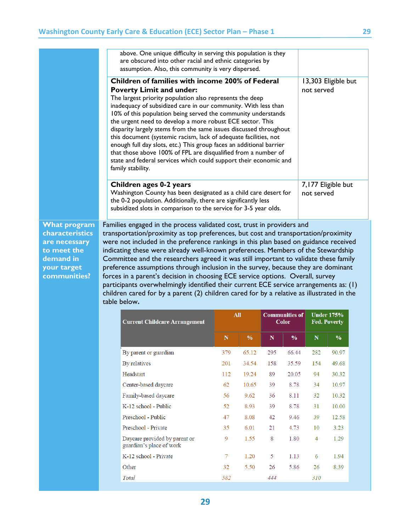|                             | above. One unique difficulty in serving this population is they<br>are obscured into other racial and ethnic categories by<br>assumption. Also, this community is very dispersed.                                                                                                                                                                                                                                                                                                                                                                                                                                                                                                                                           |         |              |         |                                       |                                   |                                          |  |
|-----------------------------|-----------------------------------------------------------------------------------------------------------------------------------------------------------------------------------------------------------------------------------------------------------------------------------------------------------------------------------------------------------------------------------------------------------------------------------------------------------------------------------------------------------------------------------------------------------------------------------------------------------------------------------------------------------------------------------------------------------------------------|---------|--------------|---------|---------------------------------------|-----------------------------------|------------------------------------------|--|
|                             | Children of families with income 200% of Federal<br><b>Poverty Limit and under:</b><br>The largest priority population also represents the deep<br>inadequacy of subsidized care in our community. With less than<br>10% of this population being served the community understands<br>the urgent need to develop a more robust ECE sector. This<br>disparity largely stems from the same issues discussed throughout<br>this document (systemic racism, lack of adequate facilities, not<br>enough full day slots, etc.) This group faces an additional barrier<br>that those above 100% of FPL are disqualified from a number of<br>state and federal services which could support their economic and<br>family stability. |         |              |         |                                       | 13,303 Eligible but<br>not served |                                          |  |
|                             | Children ages 0-2 years<br>Washington County has been designated as a child care desert for<br>the 0-2 population. Additionally, there are significantly less<br>subsidized slots in comparison to the service for 3-5 year olds.                                                                                                                                                                                                                                                                                                                                                                                                                                                                                           |         |              |         |                                       | not served                        | 7,177 Eligible but                       |  |
| to meet the<br>demand in    | indicating these were already well-known preferences. Members of the Stewardship<br>Committee and the researchers agreed it was still important to validate these family                                                                                                                                                                                                                                                                                                                                                                                                                                                                                                                                                    |         |              |         |                                       |                                   |                                          |  |
| your target<br>communities? | preference assumptions through inclusion in the survey, because they are dominant<br>forces in a parent's decision in choosing ECE service options. Overall, survey<br>participants overwhelmingly identified their current ECE service arrangements as: (1)<br>children cared for by a parent (2) children cared for by a relative as illustrated in the<br>table below.                                                                                                                                                                                                                                                                                                                                                   |         |              |         |                                       |                                   |                                          |  |
|                             | <b>Current Childcare Arrangement</b>                                                                                                                                                                                                                                                                                                                                                                                                                                                                                                                                                                                                                                                                                        |         | <b>All</b>   |         | <b>Communities of</b><br><b>Color</b> |                                   | <b>Under 175%</b><br><b>Fed. Poverty</b> |  |
|                             |                                                                                                                                                                                                                                                                                                                                                                                                                                                                                                                                                                                                                                                                                                                             | N       | $\%$         | N       | $\%$                                  | N                                 | $\%$                                     |  |
|                             | By parent or guardian                                                                                                                                                                                                                                                                                                                                                                                                                                                                                                                                                                                                                                                                                                       | 379     | 65.12        | 295     | 66.44                                 | 282                               | 90.97                                    |  |
|                             | By relatives                                                                                                                                                                                                                                                                                                                                                                                                                                                                                                                                                                                                                                                                                                                | 201     | 34.54        | 158     | 35.59                                 | 154                               | 49.68                                    |  |
|                             | Headstart                                                                                                                                                                                                                                                                                                                                                                                                                                                                                                                                                                                                                                                                                                                   | 112     | 19.24        | 89      | 20.05                                 | 94                                | 30.32                                    |  |
|                             | Center-based daycare                                                                                                                                                                                                                                                                                                                                                                                                                                                                                                                                                                                                                                                                                                        | 62      | 10.65        | 39      | 8.78                                  | 34                                | 10.97                                    |  |
|                             | Family-based daycare                                                                                                                                                                                                                                                                                                                                                                                                                                                                                                                                                                                                                                                                                                        | 56      | 9.62         | 36      | 8.11                                  | 32                                | 10.32                                    |  |
|                             | K-12 school - Public                                                                                                                                                                                                                                                                                                                                                                                                                                                                                                                                                                                                                                                                                                        | 52      | 8.93         | 39      | 8.78                                  | 31                                | 10.00                                    |  |
|                             | Preschool - Public                                                                                                                                                                                                                                                                                                                                                                                                                                                                                                                                                                                                                                                                                                          | 47      | 8.08         | 42      | 9.46                                  | 39                                | 12.58                                    |  |
|                             | Preschool - Private<br>Daycare provided by parent or                                                                                                                                                                                                                                                                                                                                                                                                                                                                                                                                                                                                                                                                        | 35<br>9 | 6.01<br>1.55 | 21<br>8 | 4.73<br>1.80                          | 10<br>4                           | 3.23<br>1.29                             |  |
|                             | guardian's place of work<br>K-12 school - Private                                                                                                                                                                                                                                                                                                                                                                                                                                                                                                                                                                                                                                                                           | 7       | 1.20         | 5       | 1.13                                  | 6                                 | 1.94                                     |  |
|                             | Other                                                                                                                                                                                                                                                                                                                                                                                                                                                                                                                                                                                                                                                                                                                       | 32      | 5.50         | 26      | 5.86                                  | 26                                | 8.39                                     |  |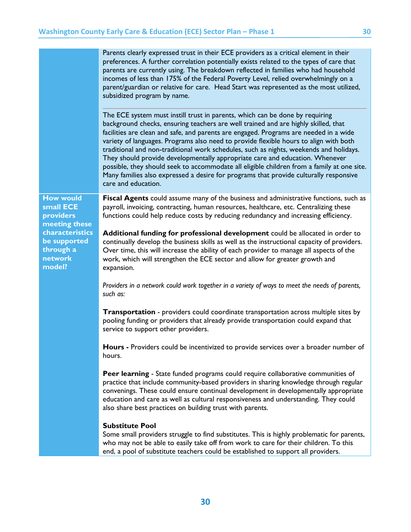|                                                                                                                                  | Parents clearly expressed trust in their ECE providers as a critical element in their<br>preferences. A further correlation potentially exists related to the types of care that<br>parents are currently using. The breakdown reflected in families who had household<br>incomes of less than 175% of the Federal Poverty Level, relied overwhelmingly on a<br>parent/guardian or relative for care. Head Start was represented as the most utilized,<br>subsidized program by name.                                                                                                                                                                                                                                                        |  |  |  |
|----------------------------------------------------------------------------------------------------------------------------------|----------------------------------------------------------------------------------------------------------------------------------------------------------------------------------------------------------------------------------------------------------------------------------------------------------------------------------------------------------------------------------------------------------------------------------------------------------------------------------------------------------------------------------------------------------------------------------------------------------------------------------------------------------------------------------------------------------------------------------------------|--|--|--|
|                                                                                                                                  | The ECE system must instill trust in parents, which can be done by requiring<br>background checks, ensuring teachers are well trained and are highly skilled, that<br>facilities are clean and safe, and parents are engaged. Programs are needed in a wide<br>variety of languages. Programs also need to provide flexible hours to align with both<br>traditional and non-traditional work schedules, such as nights, weekends and holidays.<br>They should provide developmentally appropriate care and education. Whenever<br>possible, they should seek to accommodate all eligible children from a family at one site.<br>Many families also expressed a desire for programs that provide culturally responsive<br>care and education. |  |  |  |
| <b>How would</b><br>small ECE<br>providers<br>meeting these<br>characteristics<br>be supported<br>through a<br>network<br>model? | Fiscal Agents could assume many of the business and administrative functions, such as<br>payroll, invoicing, contracting, human resources, healthcare, etc. Centralizing these<br>functions could help reduce costs by reducing redundancy and increasing efficiency.                                                                                                                                                                                                                                                                                                                                                                                                                                                                        |  |  |  |
|                                                                                                                                  | Additional funding for professional development could be allocated in order to<br>continually develop the business skills as well as the instructional capacity of providers.<br>Over time, this will increase the ability of each provider to manage all aspects of the<br>work, which will strengthen the ECE sector and allow for greater growth and<br>expansion.                                                                                                                                                                                                                                                                                                                                                                        |  |  |  |
|                                                                                                                                  | Providers in a network could work together in a variety of ways to meet the needs of parents,<br>such as:                                                                                                                                                                                                                                                                                                                                                                                                                                                                                                                                                                                                                                    |  |  |  |
|                                                                                                                                  | <b>Transportation</b> - providers could coordinate transportation across multiple sites by<br>pooling funding or providers that already provide transportation could expand that<br>service to support other providers.                                                                                                                                                                                                                                                                                                                                                                                                                                                                                                                      |  |  |  |
|                                                                                                                                  | <b>Hours</b> - Providers could be incentivized to provide services over a broader number of<br>hours.                                                                                                                                                                                                                                                                                                                                                                                                                                                                                                                                                                                                                                        |  |  |  |
|                                                                                                                                  | <b>Peer learning</b> - State funded programs could require collaborative communities of<br>practice that include community-based providers in sharing knowledge through regular<br>convenings. These could ensure continual development in developmentally appropriate<br>education and care as well as cultural responsiveness and understanding. They could<br>also share best practices on building trust with parents.                                                                                                                                                                                                                                                                                                                   |  |  |  |
|                                                                                                                                  | <b>Substitute Pool</b><br>Some small providers struggle to find substitutes. This is highly problematic for parents,<br>who may not be able to easily take off from work to care for their children. To this<br>end, a pool of substitute teachers could be established to support all providers.                                                                                                                                                                                                                                                                                                                                                                                                                                            |  |  |  |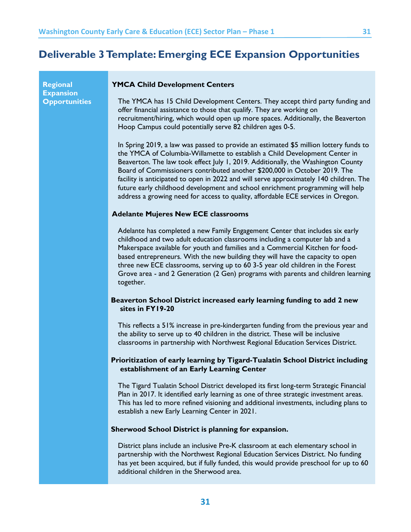### <span id="page-31-0"></span>**Deliverable 3 Template: Emerging ECE Expansion Opportunities**

**Regional Expansion Opportunities**

### **YMCA Child Development Centers**

The YMCA has 15 Child Development Centers. They accept third party funding and offer financial assistance to those that qualify. They are working on recruitment/hiring, which would open up more spaces. Additionally, the Beaverton Hoop Campus could potentially serve 82 children ages 0-5.

In Spring 2019, a law was passed to provide an estimated \$5 million lottery funds to the YMCA of Columbia-Willamette to establish a Child Development Center in Beaverton. The law took effect July 1, 2019. Additionally, the Washington County Board of Commissioners contributed another \$200,000 in October 2019. The facility is anticipated to open in 2022 and will serve approximately 140 children. The future early childhood development and school enrichment programming will help address a growing need for access to quality, affordable ECE services in Oregon.

#### **Adelante Mujeres New ECE classrooms**

Adelante has completed a new Family Engagement Center that includes six early childhood and two adult education classrooms including a computer lab and a Makerspace available for youth and families and a Commercial Kitchen for foodbased entrepreneurs. With the new building they will have the capacity to open three new ECE classrooms, serving up to 60 3-5 year old children in the Forest Grove area - and 2 Generation (2 Gen) programs with parents and children learning together.

### **Beaverton School District increased early learning funding to add 2 new sites in FY19-20**

This reflects a 51% increase in pre-kindergarten funding from the previous year and the ability to serve up to 40 children in the district. These will be inclusive classrooms in partnership with Northwest Regional Education Services District.

### **Prioritization of early learning by Tigard-Tualatin School District including establishment of an Early Learning Center**

The Tigard Tualatin School District developed its first long-term Strategic Financial Plan in 2017. It identified early learning as one of three strategic investment areas. This has led to more refined visioning and additional investments, including plans to establish a new Early Learning Center in 2021.

#### **Sherwood School District is planning for expansion.**

District plans include an inclusive Pre-K classroom at each elementary school in partnership with the Northwest Regional Education Services District. No funding has yet been acquired, but if fully funded, this would provide preschool for up to 60 additional children in the Sherwood area.